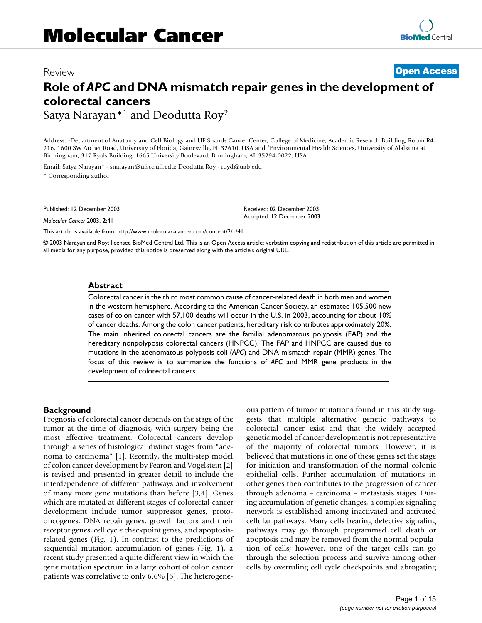# Review **[Open Access](http://www.biomedcentral.com/info/about/charter/)**

# **Role of** *APC* **and DNA mismatch repair genes in the development of colorectal cancers**

Satya Narayan\*1 and Deodutta Roy2

Address: 1Department of Anatomy and Cell Biology and UF Shands Cancer Center, College of Medicine, Academic Research Building, Room R4- 216, 1600 SW Archer Road, University of Florida, Gainesville, FL 32610, USA and 2Environmental Health Sciences, University of Alabama at Birmingham, 317 Ryals Building, 1665 University Boulevard, Birmingham, AL 35294-0022, USA

Email: Satya Narayan\* - snarayan@ufscc.ufl.edu; Deodutta Roy - royd@uab.edu

\* Corresponding author

Published: 12 December 2003

*Molecular Cancer* 2003, **2**:41

[This article is available from: http://www.molecular-cancer.com/content/2/1/41](http://www.molecular-cancer.com/content/2/1/41)

© 2003 Narayan and Roy; licensee BioMed Central Ltd. This is an Open Access article: verbatim copying and redistribution of this article are permitted in all media for any purpose, provided this notice is preserved along with the article's original URL.

Received: 02 December 2003 Accepted: 12 December 2003

#### **Abstract**

Colorectal cancer is the third most common cause of cancer-related death in both men and women in the western hemisphere. According to the American Cancer Society, an estimated 105,500 new cases of colon cancer with 57,100 deaths will occur in the U.S. in 2003, accounting for about 10% of cancer deaths. Among the colon cancer patients, hereditary risk contributes approximately 20%. The main inherited colorectal cancers are the familial adenomatous polyposis (FAP) and the hereditary nonpolyposis colorectal cancers (HNPCC). The FAP and HNPCC are caused due to mutations in the adenomatous polyposis coli (*APC*) and DNA mismatch repair (MMR) genes. The focus of this review is to summarize the functions of *APC* and MMR gene products in the development of colorectal cancers.

#### **Background**

Prognosis of colorectal cancer depends on the stage of the tumor at the time of diagnosis, with surgery being the most effective treatment. Colorectal cancers develop through a series of histological distinct stages from "adenoma to carcinoma" [1]. Recently, the multi-step model of colon cancer development by Fearon and Vogelstein [2] is revised and presented in greater detail to include the interdependence of different pathways and involvement of many more gene mutations than before [3,4]. Genes which are mutated at different stages of colorectal cancer development include tumor suppressor genes, protooncogenes, DNA repair genes, growth factors and their receptor genes, cell cycle checkpoint genes, and apoptosisrelated genes (Fig. 1). In contrast to the predictions of sequential mutation accumulation of genes (Fig. 1), a recent study presented a quite different view in which the gene mutation spectrum in a large cohort of colon cancer patients was correlative to only 6.6% [5]. The heterogeneous pattern of tumor mutations found in this study suggests that multiple alternative genetic pathways to colorectal cancer exist and that the widely accepted genetic model of cancer development is not representative of the majority of colorectal tumors. However, it is believed that mutations in one of these genes set the stage for initiation and transformation of the normal colonic epithelial cells. Further accumulation of mutations in other genes then contributes to the progression of cancer through adenoma – carcinoma – metastasis stages. During accumulation of genetic changes, a complex signaling network is established among inactivated and activated cellular pathways. Many cells bearing defective signaling pathways may go through programmed cell death or apoptosis and may be removed from the normal population of cells; however, one of the target cells can go through the selection process and survive among other cells by overruling cell cycle checkpoints and abrogating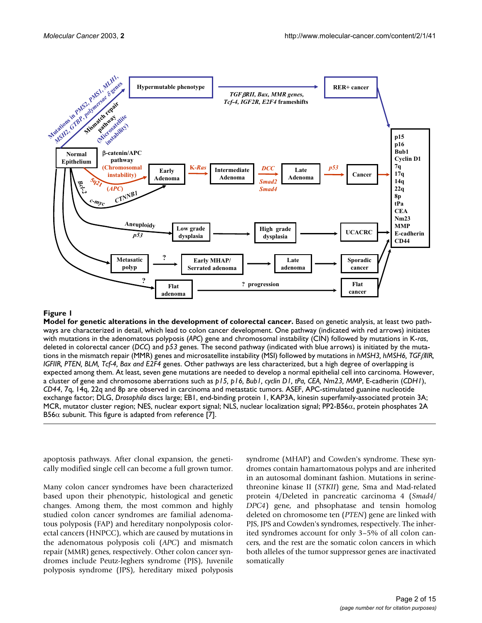

# Model for genetic alterations in th **Figure 1** e development of colorectal cancer

**Model for genetic alterations in the development of colorectal cancer.** Based on genetic analysis, at least two pathways are characterized in detail, which lead to colon cancer development. One pathway (indicated with red arrows) initiates with mutations in the adenomatous polyposis (*APC*) gene and chromosomal instability (CIN) followed by mutations in K-*ras*, deleted in colorectal cancer (*DCC*) and *p53* genes. The second pathway (indicated with blue arrows) is initiated by the mutations in the mismatch repair (MMR) genes and microsatellite instability (MSI) followed by mutations in *hMSH3, hMSH6, TGF*β*IIR, IGFIIR, PTEN, BLM, Tcf-4, Bax and E2F4* genes. Other pathways are less characterized, but a high degree of overlapping is expected among them. At least, seven gene mutations are needed to develop a normal epithelial cell into carcinoma. However, a cluster of gene and chromosome aberrations such as *p15, p16, Bub1, cyclin D1, tPa, CEA, Nm23, MMP*, E-cadherin (*CDH1*), *CD44*, 7q, 14q, 22q and 8p are observed in carcinoma and metastatic tumors. ASEF, APC-stimulated guanine nucleotide exchange factor; DLG, *Drosophila* discs large; EB1, end-binding protein 1, KAP3A, kinesin superfamily-associated protein 3A; MCR, mutator cluster region; NES, nuclear export signal; NLS, nuclear localization signal; PP2-B56α, protein phosphates 2A B56 $\alpha$  subunit. This figure is adapted from reference [7].

apoptosis pathways. After clonal expansion, the genetically modified single cell can become a full grown tumor.

Many colon cancer syndromes have been characterized based upon their phenotypic, histological and genetic changes. Among them, the most common and highly studied colon cancer syndromes are familial adenomatous polyposis (FAP) and hereditary nonpolyposis colorectal cancers (HNPCC), which are caused by mutations in the adenomatous polyposis coli (*APC*) and mismatch repair (MMR) genes, respectively. Other colon cancer syndromes include Peutz-Jeghers syndrome (PJS), Juvenile polyposis syndrome (JPS), hereditary mixed polyposis syndrome (MHAP) and Cowden's syndrome. These syndromes contain hamartomatous polyps and are inherited in an autosomal dominant fashion. Mutations in serinethreonine kinase II (*STKII*) gene, Sma and Mad-related protein 4/Deleted in pancreatic carcinoma 4 (*Smad4/ DPC4*) gene, and phsophatase and tensin homolog deleted on chromosome ten (*PTEN*) gene are linked with PJS, JPS and Cowden's syndromes, respectively. The inherited syndromes account for only 3–5% of all colon cancers, and the rest are the somatic colon cancers in which both alleles of the tumor suppressor genes are inactivated somatically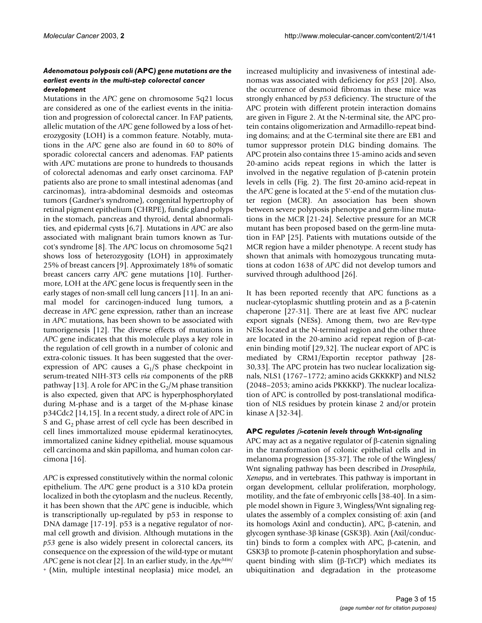### *Adenomatous polyposis coli (***APC***) gene mutations are the earliest events in the multi-step colorectal cancer development*

Mutations in the *APC* gene on chromosome 5q21 locus are considered as one of the earliest events in the initiation and progression of colorectal cancer. In FAP patients, allelic mutation of the *APC* gene followed by a loss of heterozygosity (LOH) is a common feature. Notably, mutations in the *APC* gene also are found in 60 to 80% of sporadic colorectal cancers and adenomas. FAP patients with *APC* mutations are prone to hundreds to thousands of colorectal adenomas and early onset carcinoma. FAP patients also are prone to small intestinal adenomas (and carcinomas), intra-abdominal desmoids and osteomas tumors (Gardner's syndrome), congenital hypertrophy of retinal pigment epithelium (CHRPE), fundic gland polyps in the stomach, pancreas and thyroid, dental abnormalities, and epidermal cysts [6,7]. Mutations in *APC* are also associated with malignant brain tumors known as Turcot's syndrome [8]. The *APC* locus on chromosome 5q21 shows loss of heterozygosity (LOH) in approximately 25% of breast cancers [9]. Approximately 18% of somatic breast cancers carry *APC* gene mutations [10]. Furthermore, LOH at the *APC* gene locus is frequently seen in the early stages of non-small cell lung cancers [11]. In an animal model for carcinogen-induced lung tumors, a decrease in *APC* gene expression, rather than an increase in *APC* mutations, has been shown to be associated with tumorigenesis [12]. The diverse effects of mutations in *APC* gene indicates that this molecule plays a key role in the regulation of cell growth in a number of colonic and extra-colonic tissues. It has been suggested that the overexpression of APC causes a  $G_1/S$  phase checkpoint in serum-treated NIH-3T3 cells *via* components of the pRB pathway [\[13](#page-11-0)]. A role for APC in the  $G_2/M$  phase transition is also expected, given that APC is hyperphosphorylated during M-phase and is a target of the M-phase kinase p34Cdc2 [14,15]. In a recent study, a direct role of APC in S and  $G_2$  phase arrest of cell cycle has been described in cell lines immortalized mouse epidermal keratinocytes, immortalized canine kidney epithelial, mouse squamous cell carcinoma and skin papilloma, and human colon carcimona [16].

*APC* is expressed constitutively within the normal colonic epithelium. The *APC* gene product is a 310 kDa protein localized in both the cytoplasm and the nucleus. Recently, it has been shown that the *APC* gene is inducible, which is transcriptionally up-regulated by p53 in response to DNA damage [17-19]. p53 is a negative regulator of normal cell growth and division. Although mutations in the *p53* gene is also widely present in colorectal cancers, its consequence on the expression of the wild-type or mutant *APC* gene is not clear [2]. In an earlier study, in the *ApcMin*/ + (Min, multiple intestinal neoplasia) mice model, an increased multiplicity and invasiveness of intestinal adenomas was associated with deficiency for *p53* [20]. Also, the occurrence of desmoid fibromas in these mice was strongly enhanced by *p53* deficiency. The structure of the APC protein with different protein interaction domains are given in Figure [2](#page-3-0). At the N-terminal site, the APC protein contains oligomerization and Armadillo-repeat binding domains; and at the C-terminal site there are EB1 and tumor suppressor protein DLG binding domains. The APC protein also contains three 15-amino acids and seven 20-amino acids repeat regions in which the latter is involved in the negative regulation of β-catenin protein levels in cells (Fig. [2\)](#page-3-0). The first 20-amino acid-repeat in the *APC* gene is located at the 5'-end of the mutation cluster region (MCR). An association has been shown between severe polyposis phenotype and germ-line mutations in the MCR [21-24]. Selective pressure for an MCR mutant has been proposed based on the germ-line mutation in FAP [25]. Patients with mutations outside of the MCR region have a milder phenotype. A recent study has shown that animals with homozygous truncating mutations at codon 1638 of *APC* did not develop tumors and survived through adulthood [26].

It has been reported recently that APC functions as a nuclear-cytoplasmic shuttling protein and as a β-catenin chaperone [27-31]. There are at least five APC nuclear export signals (NESs). Among them, two are Rev-type NESs located at the N-terminal region and the other three are located in the 20-amino acid repeat region of β-catenin binding motif [29,32]. The nuclear export of APC is mediated by CRM1/Exportin receptor pathway [28- 30,33]. The APC protein has two nuclear localization signals, NLS1 (1767–1772; amino acids GKKKKP) and NLS2 (2048–2053; amino acids PKKKKP). The nuclear localization of APC is controlled by post-translational modification of NLS residues by protein kinase 2 and/or protein kinase A [32-34].

#### **APC** *regulates* β*-catenin levels through Wnt-signaling*

APC may act as a negative regulator of β-catenin signaling in the transformation of colonic epithelial cells and in melanoma progression [[35-](#page-12-0)37]. The role of the Wingless/ Wnt signaling pathway has been described in *Drosophila*, *Xenopus*, and in vertebrates. This pathway is important in organ development, cellular proliferation, morphology, motility, and the fate of embryonic cells [38-40]. In a simple model shown in Figure 3, Wingless/Wnt signaling regulates the assembly of a complex consisting of: axin (and its homologs Axinl and conductin), APC, β-catenin, and glycogen synthase-3β kinase (GSK3β). Axin (Axil/conductin) binds to form a complex with APC, β-catenin, and GSK3β to promote β-catenin phosphorylation and subsequent binding with slim (β-TrCP) which mediates its ubiquitination and degradation in the proteasome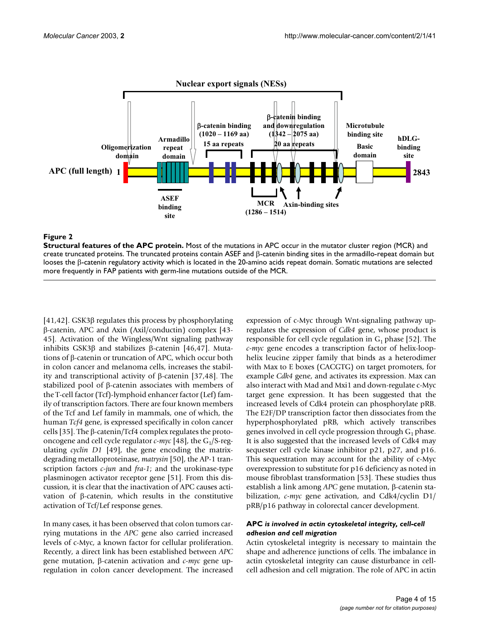<span id="page-3-0"></span>

# **Figure 2**

**Structural features of the APC protein.** Most of the mutations in APC occur in the mutator cluster region (MCR) and create truncated proteins. The truncated proteins contain ASEF and β-catenin binding sites in the armadillo-repeat domain but looses the β-catenin regulatory activity which is located in the 20-amino acids repeat domain. Somatic mutations are selected more frequently in FAP patients with germ-line mutations outside of the MCR.

[41,42]. GSK3β regulates this process by phosphorylating β-catenin, APC and Axin (Axil/conductin) complex [43- 45]. Activation of the Wingless/Wnt signaling pathway inhibits GSK3β and stabilizes β-catenin [46,47]. Mutations of β-catenin or truncation of APC, which occur both in colon cancer and melanoma cells, increases the stability and transcriptional activity of β-catenin [37,48]. The stabilized pool of β-catenin associates with members of the T-cell factor (Tcf)-lymphoid enhancer factor (Lef) family of transcription factors. There are four known members of the Tcf and Lef family in mammals, one of which, the human *Tcf4* gene, is expressed specifically in colon cancer cells [[35\]](#page-12-0). The β-catenin/Tcf4 complex regulates the protooncogene and cell cycle regulator *c-myc* [48], the G<sub>1</sub>/S-regulating *cyclin D1* [49], the gene encoding the matrixdegrading metalloproteinase, *matrysin* [50], the AP-1 transcription factors *c-jun* and *fra-1*; and the urokinase-type plasminogen activator receptor gene [51]. From this discussion, it is clear that the inactivation of APC causes activation of β-catenin, which results in the constitutive activation of Tcf/Lef response genes.

In many cases, it has been observed that colon tumors carrying mutations in the *APC* gene also carried increased levels of c-Myc, a known factor for cellular proliferation. Recently, a direct link has been established between *APC* gene mutation, β-catenin activation and *c-myc* gene upregulation in colon cancer development. The increased

expression of c-Myc through Wnt-signaling pathway upregulates the expression of *Cdk4* gene, whose product is responsible for cell cycle regulation in  $G_1$  phase [52]. The *c-myc* gene encodes a transcription factor of helix-loophelix leucine zipper family that binds as a heterodimer with Max to E boxes (CACGTG) on target promoters, for example *Cdk4* gene, and activates its expression. Max can also interact with Mad and Mxi1 and down-regulate c-Myc target gene expression. It has been suggested that the increased levels of Cdk4 protein can phosphorylate pRB. The E2F/DP transcription factor then dissociates from the hyperphosphorylated pRB, which actively transcribes genes involved in cell cycle progression through  $G_1$  phase. It is also suggested that the increased levels of Cdk4 may sequester cell cycle kinase inhibitor p21, p27, and p16. This sequestration may account for the ability of c-Myc overexpression to substitute for p16 deficiency as noted in mouse fibroblast transformation [53]. These studies thus establish a link among *APC* gene mutation, β-catenin stabilization, *c-myc* gene activation, and Cdk4/cyclin D1/ pRB/p16 pathway in colorectal cancer development.

# **APC** *is involved in actin cytoskeletal integrity, cell-cell adhesion and cell migration*

Actin cytoskeletal integrity is necessary to maintain the shape and adherence junctions of cells. The imbalance in actin cytoskeletal integrity can cause disturbance in cellcell adhesion and cell migration. The role of APC in actin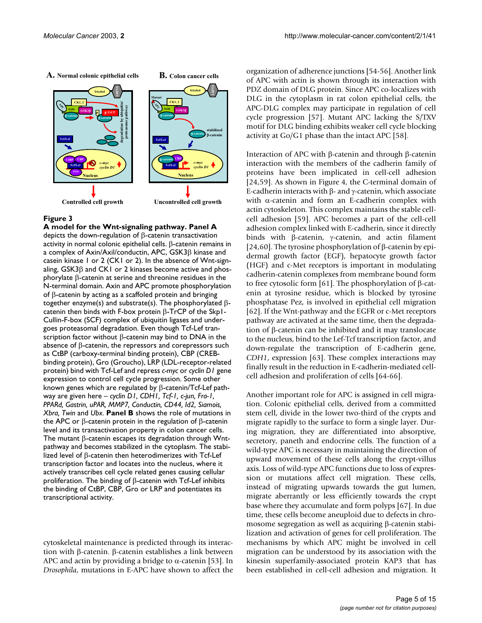**A. Normal colonic epithelial cells**



**B. Colon cancer cells**

# **Figure 3**

**A model for the Wnt-signaling pathway. Panel A**  depicts the down-regulation of β-catenin transactivation activity in normal colonic epithelial cells. β-catenin remains in a complex of Axin/Axil/conductin, APC, GSK3β kinase and casein kinase 1 or 2 (CK1 or 2). In the absence of Wnt-signaling, GSK3β and CK1 or 2 kinases become active and phosphorylate β-catenin at serine and threonine residues in the N-terminal domain. Axin and APC promote phosphorylation of β-catenin by acting as a scaffoled protein and bringing together enzyme(s) and substrate(s). The phosphorylated βcatenin then binds with F-box protein β-TrCP of the Skp1- Cullin-F-box (SCF) complex of ubiquitin ligases and undergoes proteasomal degradation. Even though Tcf-Lef transcription factor without β-catenin may bind to DNA in the absence of  $β$ -catenin, the repressors and corepressors such as CtBP (carboxy-terminal binding protein), CBP (CREBbinding protein), Gro (Groucho), LRP (LDL-receptor-related protein) bind with Tcf-Lef and repress *c-myc* or *cyclin D1* gene expression to control cell cycle progression. Some other known genes which are regulated by β-catenin/Tcf-Lef pathway are given here – *cyclin D1, CDH1, Tcf-1, c-jun, Fra-1, PPARd, Gastrin, uPAR, MMP7, Conductin, CD44, Id2, Siamois, Xbra, Twin* and *Ubx*. **Panel B** shows the role of mutations in the APC or β-catenin protein in the regulation of β-catenin level and its transactivation property in colon cancer cells. The mutant β-catenin escapes its degradation through Wntpathway and becomes stabilized in the cytoplasm. The stabilized level of β-catenin then heterodimerizes with Tcf-Lef transcription factor and locates into the nucleus, where it actively transcribes cell cycle related genes causing cellular proliferation. The binding of β-catenin with Tcf-Lef inhibits the binding of CtBP, CBP, Gro or LRP and potentiates its transcriptional activity.

cytoskeletal maintenance is predicted through its interaction with β-catenin. β-catenin establishes a link between APC and actin by providing a bridge to  $\alpha$ -catenin [53]. In *Drosophila*, mutations in E-APC have shown to affect the organization of adherence junctions [54-56]. Another link of APC with actin is shown through its interaction with PDZ domain of DLG protein. Since APC co-localizes with DLG in the cytoplasm in rat colon epithelial cells, the APC-DLG complex may participate in regulation of cell cycle progression [57]. Mutant APC lacking the S/TXV motif for DLG binding exhibits weaker cell cycle blocking activity at Go/G1 phase than the intact APC [58].

Interaction of APC with β-catenin and through β-catenin interaction with the members of the cadherin family of proteins have been implicated in cell-cell adhesion [24,59]. As shown in Figure 4, the C-terminal domain of E-cadherin interacts with β- and γ-catenin, which associate with α-catenin and form an E-cadherin complex with actin cytoskeleton. This complex maintains the stable cellcell adhesion [59]. APC becomes a part of the cell-cell adhesion complex linked with E-cadherin, since it directly binds with β-catenin, γ-catenin, and actin filament [24,60]. The tyrosine phosphorylation of β-catenin by epidermal growth factor (EGF), hepatocyte growth factor (HGF) and c-Met receptors is important in modulating cadherin-catenin complexes from membrane bound form to free cytosolic form [61]. The phosphorylation of β-catenin at tyrosine residue, which is blocked by tyrosine phosphatase Pez, is involved in epithelial cell migration [62]. If the Wnt-pathway and the EGFR or c-Met receptors pathway are activated at the same time, then the degradation of β-catenin can be inhibited and it may translocate to the nucleus, bind to the Lef-Tcf transcription factor, and down-regulate the transcription of E-cadherin gene, *CDH1*, expression [63]. These complex interactions may finally result in the reduction in E-cadherin-mediated cellcell adhesion and proliferation of cells [64-66].

Another important role for APC is assigned in cell migration. Colonic epithelial cells, derived from a committed stem cell, divide in the lower two-third of the crypts and migrate rapidly to the surface to form a single layer. During migration, they are differentiated into absorptive, secretory, paneth and endocrine cells. The function of a wild-type APC is necessary in maintaining the direction of upward movement of these cells along the crypt-villus axis. Loss of wild-type APC functions due to loss of expression or mutations affect cell migration. These cells, instead of migrating upwards towards the gut lumen, migrate aberrantly or less efficiently towards the crypt base where they accumulate and form polyps [67]. In due time, these cells become aneuploid due to defects in chromosome segregation as well as acquiring β-catenin stabilization and activation of genes for cell proliferation. The mechanisms by which APC might be involved in cell migration can be understood by its association with the kinesin superfamily-associated protein KAP3 that has been established in cell-cell adhesion and migration. It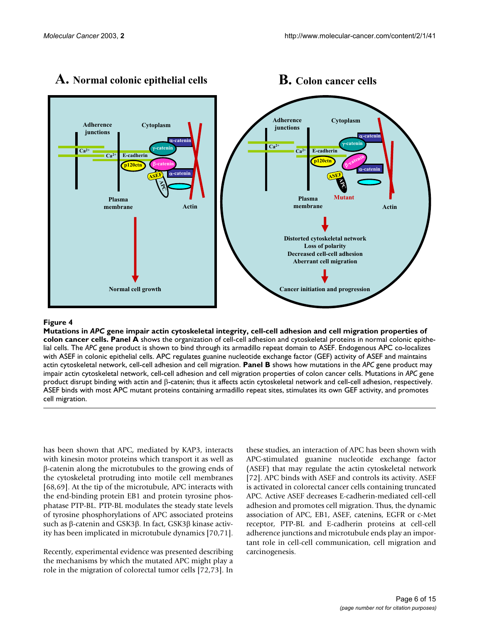

### Mutations in **Figure 4** *APC* gene impair actin cytoskeletal integrity, cell-cell adhesion and cell migration properties of colon cancer cells

**Mutations in** *APC* **gene impair actin cytoskeletal integrity, cell-cell adhesion and cell migration properties of colon cancer cells. Panel A** shows the organization of cell-cell adhesion and cytoskeletal proteins in normal colonic epithelial cells. The *APC* gene product is shown to bind through its armadillo repeat domain to ASEF. Endogenous APC co-localizes with ASEF in colonic epithelial cells. APC regulates guanine nucleotide exchange factor (GEF) activity of ASEF and maintains actin cytoskeletal network, cell-cell adhesion and cell migration. **Panel B** shows how mutations in the *APC* gene product may impair actin cytoskeletal network, cell-cell adhesion and cell migration properties of colon cancer cells. Mutations in *APC* gene product disrupt binding with actin and β-catenin; thus it affects actin cytoskeletal network and cell-cell adhesion, respectively. ASEF binds with most APC mutant proteins containing armadillo repeat sites, stimulates its own GEF activity, and promotes cell migration.

has been shown that APC, mediated by KAP3, interacts with kinesin motor proteins which transport it as well as β-catenin along the microtubules to the growing ends of the cytoskeletal protruding into motile cell membranes [68,69]. At the tip of the microtubule, APC interacts with the end-binding protein EB1 and protein tyrosine phosphatase PTP-BL. PTP-BL modulates the steady state levels of tyrosine phosphorylations of APC associated proteins such as β-catenin and GSK3β. In fact, GSK3β kinase activity has been implicated in microtubule dynamics [70,71].

Recently, experimental evidence was presented describing the mechanisms by which the mutated APC might play a role in the migration of colorectal tumor cells [72,73]. In

these studies, an interaction of APC has been shown with APC-stimulated guanine nucleotide exchange factor (ASEF) that may regulate the actin cytoskeletal network [72]. APC binds with ASEF and controls its activity. ASEF is activated in colorectal cancer cells containing truncated APC. Active ASEF decreases E-cadherin-mediated cell-cell adhesion and promotes cell migration. Thus, the dynamic association of APC, EB1, ASEF, catenins, EGFR or c-Met receptor, PTP-BL and E-cadherin proteins at cell-cell adherence junctions and microtubule ends play an important role in cell-cell communication, cell migration and carcinogenesis.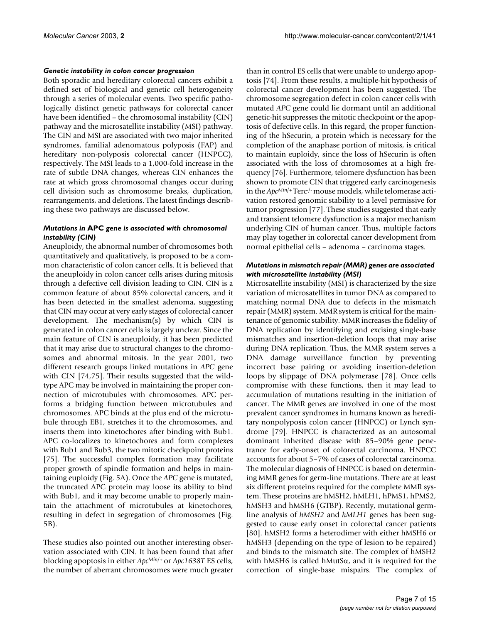#### *Genetic instability in colon cancer progression*

Both sporadic and hereditary colorectal cancers exhibit a defined set of biological and genetic cell heterogeneity through a series of molecular events. Two specific pathologically distinct genetic pathways for colorectal cancer have been identified – the chromosomal instability (CIN) pathway and the microsatellite instability (MSI) pathway. The CIN and MSI are associated with two major inherited syndromes, familial adenomatous polyposis (FAP) and hereditary non-polyposis colorectal cancer (HNPCC), respectively. The MSI leads to a 1,000-fold increase in the rate of subtle DNA changes, whereas CIN enhances the rate at which gross chromosomal changes occur during cell division such as chromosome breaks, duplication, rearrangements, and deletions. The latest findings describing these two pathways are discussed below.

### *Mutations in* **APC** *gene is associated with chromosomal instability (CIN)*

Aneuploidy, the abnormal number of chromosomes both quantitatively and qualitatively, is proposed to be a common characteristic of colon cancer cells. It is believed that the aneuploidy in colon cancer cells arises during mitosis through a defective cell division leading to CIN. CIN is a common feature of about 85% colorectal cancers, and it has been detected in the smallest adenoma, suggesting that CIN may occur at very early stages of colorectal cancer development. The mechanism(s) by which CIN is generated in colon cancer cells is largely unclear. Since the main feature of CIN is aneuploidy, it has been predicted that it may arise due to structural changes to the chromosomes and abnormal mitosis. In the year 2001, two different research groups linked mutations in *APC* gene with CIN [74,75]. Their results suggested that the wildtype APC may be involved in maintaining the proper connection of microtubules with chromosomes. APC performs a bridging function between microtubules and chromosomes. APC binds at the plus end of the microtubule through EB1, stretches it to the chromosomes, and inserts them into kinetochores after binding with Bub1. APC co-localizes to kinetochores and form complexes with Bub1 and Bub3, the two mitotic checkpoint proteins [75]. The successful complex formation may facilitate proper growth of spindle formation and helps in maintaining euploidy (Fig. [5A](#page-7-0)). Once the *APC* gene is mutated, the truncated APC protein may loose its ability to bind with Bub1, and it may become unable to properly maintain the attachment of microtubules at kinetochores, resulting in defect in segregation of chromosomes (Fig. [5B](#page-7-0)).

These studies also pointed out another interesting observation associated with CIN. It has been found that after blocking apoptosis in either *ApcMin*/+ or *Apc1638T* ES cells, the number of aberrant chromosomes were much greater

than in control ES cells that were unable to undergo apoptosis [74]. From these results, a multiple-hit hypothesis of colorectal cancer development has been suggested. The chromosome segregation defect in colon cancer cells with mutated *APC* gene could lie dormant until an additional genetic-hit suppresses the mitotic checkpoint or the apoptosis of defective cells. In this regard, the proper functioning of the hSecurin, a protein which is necessary for the completion of the anaphase portion of mitosis, is critical to maintain euploidy, since the loss of hSecurin is often associated with the loss of chromosomes at a high frequency [76]. Furthermore, telomere dysfunction has been shown to promote CIN that triggered early carcinogenesis in the *Apc<sup>Min/+</sup>* Terc<sup>-/-</sup> mouse models, while telomerase activation restored genomic stability to a level permissive for tumor progression [77]. These studies suggested that early and transient telomere dysfunction is a major mechanism underlying CIN of human cancer. Thus, multiple factors may play together in colorectal cancer development from normal epithelial cells – adenoma – carcinoma stages.

# *Mutations in mismatch repair (MMR) genes are associated with microsatellite instability (MSI)*

Microsatellite instability (MSI) is characterized by the size variation of microsatellites in tumor DNA as compared to matching normal DNA due to defects in the mismatch repair (MMR) system. MMR system is critical for the maintenance of genomic stability. MMR increases the fidelity of DNA replication by identifying and excising single-base mismatches and insertion-deletion loops that may arise during DNA replication. Thus, the MMR system serves a DNA damage surveillance function by preventing incorrect base pairing or avoiding insertion-deletion loops by slippage of DNA polymerase [78]. Once cells compromise with these functions, then it may lead to accumulation of mutations resulting in the initiation of cancer. The MMR genes are involved in one of the most prevalent cancer syndromes in humans known as hereditary nonpolyposis colon cancer (HNPCC) or Lynch syndrome [79]. HNPCC is characterized as an autosomal dominant inherited disease with 85–90% gene penetrance for early-onset of colorectal carcinoma. HNPCC accounts for about 5–7% of cases of colorectal carcinoma. The molecular diagnosis of HNPCC is based on determining MMR genes for germ-line mutations. There are at least six different proteins required for the complete MMR system. These proteins are hMSH2, hMLH1, hPMS1, hPMS2, hMSH3 and hMSH6 (GTBP). Recently, mutational germline analysis of *hMSH2* and *hMLH1* genes has been suggested to cause early onset in colorectal cancer patients [80]. hMSH2 forms a heterodimer with either hMSH6 or hMSH3 (depending on the type of lesion to be repaired) and binds to the mismatch site. The complex of hMSH2 with hMSH6 is called hMutS $\alpha$ , and it is required for the correction of single-base mispairs. The complex of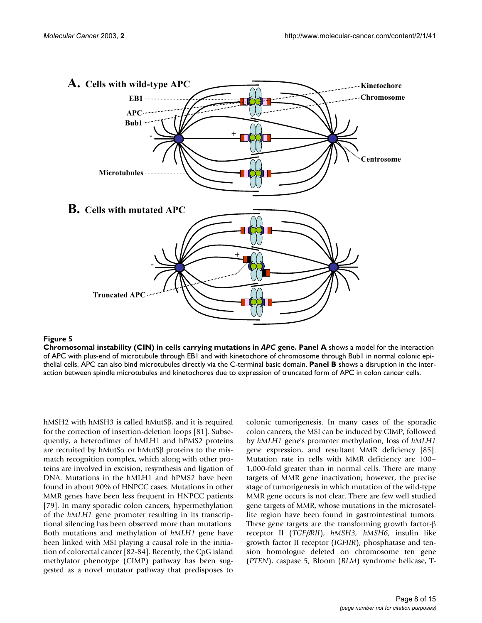<span id="page-7-0"></span>

#### Figure 5

**Chromosomal instability (CIN) in cells carrying mutations in** *APC* **gene. Panel A** shows a model for the interaction of APC with plus-end of microtubule through EB1 and with kinetochore of chromosome through Bub1 in normal colonic epithelial cells. APC can also bind microtubules directly via the C-terminal basic domain. **Panel B** shows a disruption in the interaction between spindle microtubules and kinetochores due to expression of truncated form of APC in colon cancer cells.

hMSH2 with hMSH3 is called hMutSβ, and it is required for the correction of insertion-deletion loops [81]. Subsequently, a heterodimer of hMLH1 and hPMS2 proteins are recruited by hMutSα or hMutSβ proteins to the mismatch recognition complex, which along with other proteins are involved in excision, resynthesis and ligation of DNA. Mutations in the hMLH1 and hPMS2 have been found in about 90% of HNPCC cases. Mutations in other MMR genes have been less frequent in HNPCC patients [79]. In many sporadic colon cancers, hypermethylation of the *hMLH1* gene promoter resulting in its transcriptional silencing has been observed more than mutations. Both mutations and methylation of *hMLH1* gene have been linked with MSI playing a causal role in the initiation of colorectal cancer [82-84]. Recently, the CpG island methylator phenotype (CIMP) pathway has been suggested as a novel mutator pathway that predisposes to

colonic tumorigenesis. In many cases of the sporadic colon cancers, the MSI can be induced by CIMP, followed by *hMLH1* gene's promoter methylation, loss of *hMLH1* gene expression, and resultant MMR deficiency [85]. Mutation rate in cells with MMR deficiency are 100– 1,000-fold greater than in normal cells. There are many targets of MMR gene inactivation; however, the precise stage of tumorigenesis in which mutation of the wild-type MMR gene occurs is not clear. There are few well studied gene targets of MMR, whose mutations in the microsatellite region have been found in gastrointestinal tumors. These gene targets are the transforming growth factor-β receptor II (*TGF*β*RII*), *hMSH3, hMSH6*, insulin like growth factor II receptor (*IGFIIR*), phosphatase and tension homologue deleted on chromosome ten gene (*PTEN*), caspase 5, Bloom (*BLM*) syndrome helicase, T-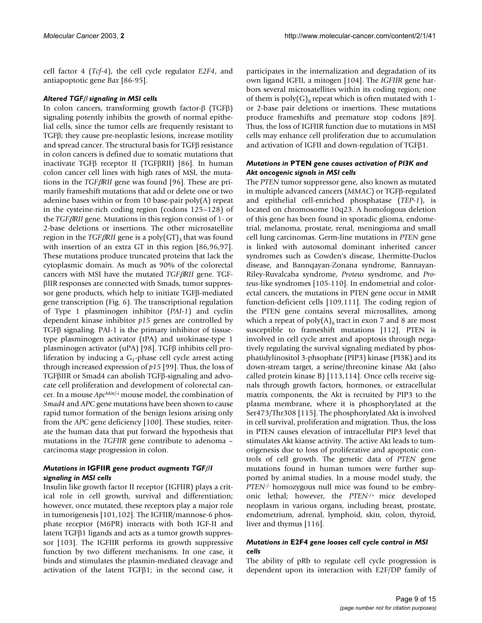cell factor 4 (*Tcf-4*), the cell cycle regulator *E2F4*, and antiapoptotic gene *Bax* [86-95].

### *Altered TGF*β *signaling in MSI cells*

In colon cancers, transforming growth factor-β (TGFβ) signaling potently inhibits the growth of normal epithelial cells, since the tumor cells are frequently resistant to TGFβ; they cause pre-neoplastic lesions, increase motility and spread cancer. The structural basis for TGFβ resistance in colon cancers is defined due to somatic mutations that inactivate TGFβ receptor II (TGFβRII) [86]. In human colon cancer cell lines with high rates of MSI, the mutations in the *TGF*β*RII* gene was found [96]. These are primarily frameshift mutations that add or delete one or two adenine bases within or from 10 base-pair poly(A) repeat in the cysteine-rich coding region (codons 125–128) of the *TGF*β*RII* gene. Mutations in this region consist of 1- or 2-base deletions or insertions. The other microsatellite region in the *TGF* $\beta$ *RII* gene is a poly(GT)<sub>3</sub> that was found with insertion of an extra GT in this region [86,96,97]. These mutations produce truncated proteins that lack the cytoplasmic domain. As much as 90% of the colorectal cancers with MSI have the mutated *TGF*β*RII* gene. TGFβIIR responses are connected with Smads, tumor suppressor gene products, which help to initiate TGFβ-mediated gene transcription (Fig. [6](#page-9-0)). The transcriptional regulation of Type 1 plasminogen inhibitor (*PAI-1*) and cyclin dependent kinase inhibitor *p15* genes are controlled by TGFβ signaling. PAI-1 is the primary inhibitor of tissuetype plasminogen activator (tPA) and urokinase-type 1 plasminogen activator (uPA) [98]. TGFβ inhibits cell proliferation by inducing a  $G_1$ -phase cell cycle arrest acting through increased expression of *p15* [99]. Thus, the loss of TGFβIIR or Smad4 can abolish TGFβ-signaling and advocate cell proliferation and development of colorectal cancer. In a mouse *ApcMin*/+ mouse model, the combination of *Smad4* and *APC* gene mutations have been shown to cause rapid tumor formation of the benign lesions arising only from the *APC* gene deficiency [100]. These studies, reiterate the human data that put forward the hypothesis that mutations in the *TGFIIR* gene contribute to adenoma – carcinoma stage progression in colon.

# *Mutations in* **IGFIIR** *gene product augments TGF*β*1 signaling in MSI cells*

Insulin like growth factor II receptor (IGFIIR) plays a critical role in cell growth, survival and differentiation; however, once mutated, these receptors play a major role in tumorigenesis [101,102]. The IGFIIR/mannose-6 phosphate receptor (M6PR) interacts with both IGF-II and latent TGFβ1 ligands and acts as a tumor growth suppressor [103]. The IGFIIR performs its growth suppressive function by two different mechanisms. In one case, it binds and stimulates the plasmin-mediated cleavage and activation of the latent TGFβ1; in the second case, it

participates in the internalization and degradation of its own ligand IGFII, a mitogen [104]. The *IGFIIR* gene harbors several microsatellites within its coding region; one of them is  $poly(G)_{8}$  repeat which is often mutated with 1or 2-base pair deletions or insertions. These mutations produce frameshifts and premature stop codons [89]. Thus, the loss of IGFIIR function due to mutations in MSI cells may enhance cell proliferation due to accumulation and activation of IGFII and down-regulation of TGFβ1.

# *Mutations in* **PTEN** *gene causes activation of PI3K and Akt oncogenic signals in MSI cells*

The *PTEN* tumor suppressor gene, also known as mutated in multiple advanced cancers (*MMAC*) or TGFβ-regulated and epithelial cell-enriched phosphatase (*TEP-1*), is located on chromosome 10q23. A homologous deletion of this gene has been found in sporadic glioma, endometrial, melanoma, prostate, renal, meningioma and small cell lung carcinomas. Germ-line mutations in *PTEN* gene is linked with autosomal dominant inherited cancer syndromes such as Cowden's disease, Lhermitte-Duclos disease, and Bannqayan-Zonana syndrome, Bannayan-Riley-Ruvalcaba syndrome, *Proteus* syndrome, and *Proteus*-like syndromes [105-110]. In endometrial and colorectal cancers, the mutations in PTEN gene occur in MMR function-deficient cells [109,111]. The coding region of the PTEN gene contains several microsallites, among which a repeat of poly $(A)$ <sub>6</sub> tract in exon 7 and 8 are most susceptible to frameshift mutations [112]. PTEN is involved in cell cycle arrest and apoptosis through negatively regulating the survival signaling mediated by phosphatidylinositol 3-phsophate (PIP3) kinase (PI3K) and its down-stream target, a serine/threonine kinase Akt (also called protein kinase B) [113,114]. Once cells receive signals through growth factors, hormones, or extracellular matrix components, the Akt is recruited by PIP3 to the plasma membrane, where it is phosphorylated at the Ser473/Thr308 [115]. The phosphorylated Akt is involved in cell survival, proliferation and migration. Thus, the loss in PTEN causes elevation of intracellular PIP3 level that stimulates Akt kianse activity. The active Akt leads to tumorigenesis due to loss of proliferative and apoptotic controls of cell growth. The genetic data of *PTEN* gene mutations found in human tumors were further supported by animal studies. In a mouse model study, the *PTEN*-/- homozygous null mice was found to be embryonic lethal; however, the *PTEN*-/+ mice developed neoplasm in various organs, including breast, prostate, endometrium, adrenal, lymphoid, skin, colon, thyroid, liver and thymus [116].

# *Mutations in* **E2F4** *gene looses cell cycle control in MSI cells*

The ability of pRb to regulate cell cycle progression is dependent upon its interaction with E2F/DP family of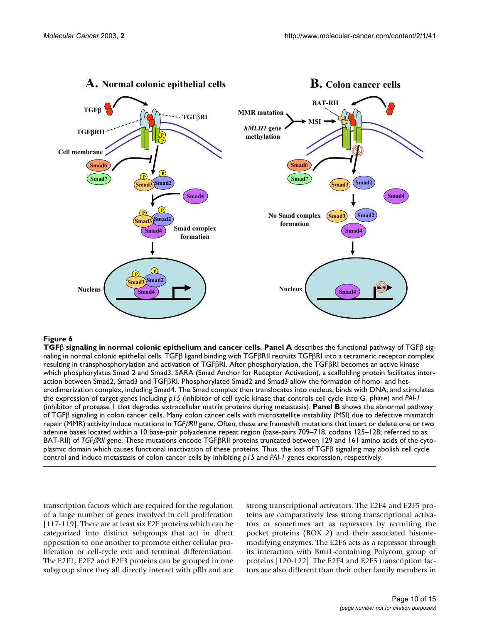<span id="page-9-0"></span>

# **Figure 6**

**TGF**β **signaling in normal colonic epithelium and cancer cells. Panel A** describes the functional pathway of TGFβ signaling in normal colonic epithelial cells. TGFβ ligand binding with TGFβRII recruits TGFβRI into a tetrameric receptor complex resulting in transphosphorylation and activation of TGFβRI. After phosphorylation, the TGFβRI becomes an active kinase which phosphorylates Smad 2 and Smad3. SARA (Smad Anchor for Receptor Activation), a scaffolding protein facilitates interaction between Smad2, Smad3 and TGFβRI. Phosphorylated Smad2 and Smad3 allow the formation of homo- and heterodimerization complex, including Smad4. The Smad complex then translocates into nucleus, binds with DNA, and stimulates the expression of target genes including  $p15$  (inhibitor of cell cycle kinase that controls cell cycle into G<sub>1</sub> phase) and *PAI-1* (inhibitor of protease 1 that degrades extracellular matrix proteins during metastasis). **Panel B** shows the abnormal pathway of TGFβ signaling in colon cancer cells. Many colon cancer cells with microsatellite instability (MSI) due to defective mismatch repair (MMR) activity induce mutations in *TGF*β*RII* gene. Often, these are frameshift mutations that insert or delete one or two adenine bases located within a 10 base-pair polyadenine repeat region (base-pairs 709–718, codons 125–128; referred to as BAT-RII) of *TGF*β*RII* gene. These mutations encode TGFβRII proteins truncated between 129 and 161 amino acids of the cytoplasmic domain which causes functional inactivation of these proteins. Thus, the loss of TGFβ signaling may abolish cell cycle control and induce metastasis of colon cancer cells by inhibiting *p15* and *PAI-1* genes expression, respectively.

transcription factors which are required for the regulation of a large number of genes involved in cell proliferation [117-119]. There are at least six E2F proteins which can be categorized into distinct subgroups that act in direct opposition to one another to promote either cellular proliferation or cell-cycle exit and terminal differentiation. The E2F1, E2F2 and E2F3 proteins can be grouped in one subgroup since they all directly interact with pRb and are

strong transcriptional activators. The E2F4 and E2F5 proteins are comparatively less strong transcriptional activators or sometimes act as repressors by recruiting the pocket proteins (BOX 2) and their associated histonemodifying enzymes. The E2F6 acts as a repressor through its interaction with Bmi1-containing Polycom group of proteins [120-122]. The E2F4 and E2F5 transcription factors are also different than their other family members in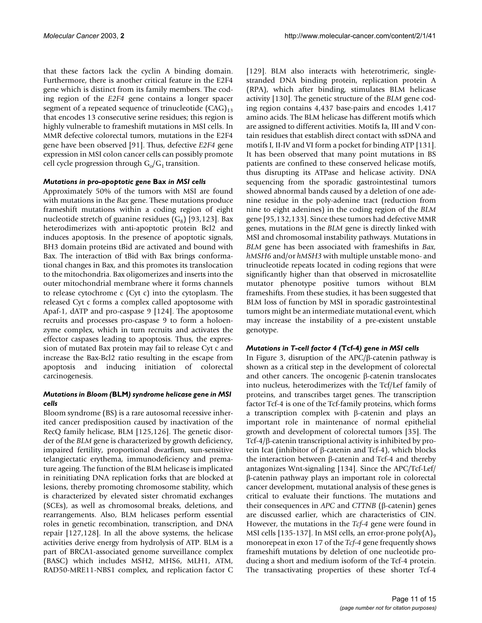that these factors lack the cyclin A binding domain. Furthermore, there is another critical feature in the E2F4 gene which is distinct from its family members. The coding region of the *E2F4* gene contains a longer spacer segment of a repeated sequence of trinucleotide  $(CAG)_{13}$ that encodes 13 consecutive serine residues; this region is highly vulnerable to frameshift mutations in MSI cells. In MMR defective colorectal tumors, mutations in the E2F4 gene have been observed [91]. Thus, defective *E2F4* gene expression in MSI colon cancer cells can possibly promote cell cycle progression through  $G_0/G_1$  transition.

#### *Mutations in pro-apoptotic gene* **Bax** *in MSI cells*

Approximately 50% of the tumors with MSI are found with mutations in the *Bax* gene. These mutations produce frameshift mutations within a coding region of eight nucleotide stretch of guanine residues  $(G_8)$  [93,123]. Bax heterodimerizes with anti-apoptotic protein Bcl2 and induces apoptosis. In the presence of apoptotic signals, BH3 domain proteins tBid are activated and bound with Bax. The interaction of tBid with Bax brings conformational changes in Bax, and this promotes its translocation to the mitochondria. Bax oligomerizes and inserts into the outer mitochondrial membrane where it forms channels to release cytochrome c (Cyt c) into the cytoplasm. The released Cyt c forms a complex called apoptosome with Apaf-1, dATP and pro-caspase 9 [124]. The apoptosome recruits and processes pro-caspase 9 to form a holoenzyme complex, which in turn recruits and activates the effector caspases leading to apoptosis. Thus, the expression of mutated Bax protein may fail to release Cyt c and increase the Bax-Bcl2 ratio resulting in the escape from apoptosis and inducing initiation of colorectal carcinogenesis.

### *Mutations in Bloom (***BLM***) syndrome helicase gene in MSI cells*

Bloom syndrome (BS) is a rare autosomal recessive inherited cancer predisposition caused by inactivation of the RecQ family helicase, BLM [125,126]. The genetic disorder of the *BLM* gene is characterized by growth deficiency, impaired fertility, proportional dwarfism, sun-sensitive telangiectatic erythema, immunodeficiency and premature ageing. The function of the BLM helicase is implicated in reinitiating DNA replication forks that are blocked at lesions, thereby promoting chromosome stability, which is characterized by elevated sister chromatid exchanges (SCEs), as well as chromosomal breaks, deletions, and rearrangements. Also, BLM helicases perform essential roles in genetic recombination, transcription, and DNA repair [127,128]. In all the above systems, the helicase activities derive energy from hydrolysis of ATP. BLM is a part of BRCA1-associated genome surveillance complex (BASC) which includes MSH2, MHS6, MLH1, ATM, RAD50-MRE11-NBS1 complex, and replication factor C

[129]. BLM also interacts with heterotrimeric, singlestranded DNA binding protein, replication protein A (RPA), which after binding, stimulates BLM helicase activity [130]. The genetic structure of the *BLM* gene coding region contains 4,437 base-pairs and encodes 1,417 amino acids. The BLM helicase has different motifs which are assigned to different activities. Motifs Ia, III and V contain residues that establish direct contact with ssDNA and motifs I, II-IV and VI form a pocket for binding ATP [131]. It has been observed that many point mutations in BS patients are confined to these conserved helicase motifs, thus disrupting its ATPase and helicase activity. DNA sequencing from the sporadic gastrointestinal tumors showed abnormal bands caused by a deletion of one adenine residue in the poly-adenine tract (reduction from nine to eight adenines) in the coding region of the *BLM* gene [95,132,133]. Since these tumors had defective MMR genes, mutations in the *BLM* gene is directly linked with MSI and chromosomal instability pathways. Mutations in *BLM* gene has been associated with frameshifts in *Bax, hMSH6* and/or *hMSH3* with multiple unstable mono- and trinucleotide repeats located in coding regions that were significantly higher than that observed in microsatellite mutator phenotype positive tumors without BLM frameshifts. From these studies, it has been suggested that BLM loss of function by MSI in sporadic gastrointestinal tumors might be an intermediate mutational event, which may increase the instability of a pre-existent unstable genotype.

# *Mutations in T-cell factor 4 (***Tcf-4***) gene in MSI cells*

In Figure 3, disruption of the APC/β-catenin pathway is shown as a critical step in the development of colorectal and other cancers. The oncogenic β-catenin translocates into nucleus, heterodimerizes with the Tcf/Lef family of proteins, and transcribes target genes. The transcription factor Tcf-4 is one of the Tcf-family proteins, which forms a transcription complex with β-catenin and plays an important role in maintenance of normal epithelial growth and development of colorectal tumors [\[35](#page-12-0)]. The Tcf-4/β-catenin transcriptional activity is inhibited by protein Icat (inhibitor of β-catenin and Tcf-4), which blocks the interaction between β-catenin and Tcf-4 and thereby antagonizes Wnt-signaling [134]. Since the APC/Tcf-Lef/ β-catenin pathway plays an important role in colorectal cancer development, mutational analysis of these genes is critical to evaluate their functions. The mutations and their consequences in *APC* and *CTTNB* (β-catenin) genes are discussed earlier, which are characteristics of CIN. However, the mutations in the *Tcf-4* gene were found in MSI cells [135-137]. In MSI cells, an error-prone poly $(A)_{\alpha}$ monorepeat in exon 17 of the *Tcf-4* gene frequently shows frameshift mutations by deletion of one nucleotide producing a short and medium isoform of the Tcf-4 protein. The transactivating properties of these shorter Tcf-4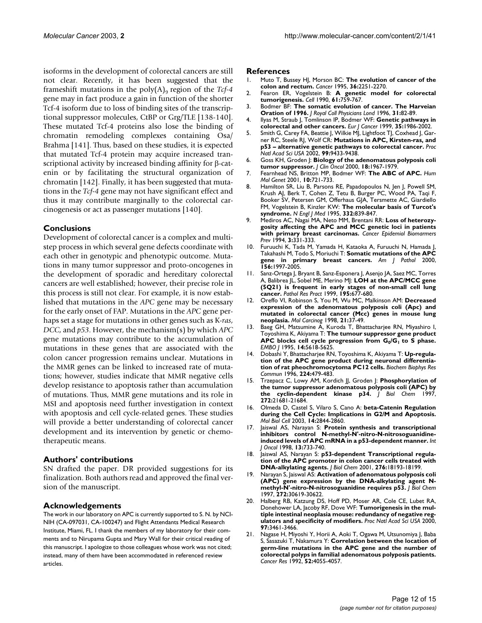isoforms in the development of colorectal cancers are still not clear. Recently, it has been suggested that the frameshift mutations in the poly $(A)$ <sub>9</sub> region of the *Tcf-4* gene may in fact produce a gain in function of the shorter Tcf-4 isoform due to loss of binding sites of the transcriptional suppressor molecules, CtBP or Grg/TLE [138-140]. These mutated Tcf-4 proteins also lose the binding of chromatin remodeling complexes containing Osa/ Brahma [141]. Thus, based on these studies, it is expected that mutated Tcf-4 protein may acquire increased transcriptional activity by increased binding affinity for β-catenin or by facilitating the structural organization of chromatin [142]. Finally, it has been suggested that mutations in the *Tcf-4* gene may not have significant effect and thus it may contribute marginally to the colorectal carcinogenesis or act as passenger mutations [140].

# **Conclusions**

Development of colorectal cancer is a complex and multistep process in which several gene defects coordinate with each other in genotypic and phenotypic outcome. Mutations in many tumor suppressor and proto-oncogenes in the development of sporadic and hereditary colorectal cancers are well established; however, their precise role in this process is still not clear. For example, it is now established that mutations in the *APC* gene may be necessary for the early onset of FAP. Mutations in the *APC* gene perhaps set a stage for mutations in other genes such as K-*ras*, *DCC*, and *p53*. However, the mechanism(s) by which *APC* gene mutations may contribute to the accumulation of mutations in these genes that are associated with the colon cancer progression remains unclear. Mutations in the MMR genes can be linked to increased rate of mutations; however, studies indicate that MMR negative cells develop resistance to apoptosis rather than accumulation of mutations. Thus, MMR gene mutations and its role in MSI and apoptosis need further investigation in context with apoptosis and cell cycle-related genes. These studies will provide a better understanding of colorectal cancer development and its intervention by genetic or chemotherapeutic means.

# **Authors' contributions**

SN drafted the paper. DR provided suggestions for its finalization. Both authors read and approved the final version of the manuscript.

# **Acknowledgements**

The work in our laboratory on APC is currently supported to S. N. by NCI-NIH (CA-097031, CA-100247) and Flight Attendants Medical Research Institute, Miami, FL. I thank the members of my laboratory for their comments and to Nirupama Gupta and Mary Wall for their critical reading of this manuscript. I apologize to those colleagues whose work was not cited; instead, many of them have been accommodated in referenced review articles.

### **References**

- 1. Muto T, Bussey HJ, Morson BC: **The evolution of cancer of the colon and rectum.** *Cancer* 1995, **36:**2251-2270.
- 2. Fearon ER, Vogelstein B: **[A genetic model for colorectal](http://www.ncbi.nlm.nih.gov/entrez/query.fcgi?cmd=Retrieve&db=PubMed&dopt=Abstract&list_uids=2188735) [tumorigenesis.](http://www.ncbi.nlm.nih.gov/entrez/query.fcgi?cmd=Retrieve&db=PubMed&dopt=Abstract&list_uids=2188735)** *Cell* 1990, **61:**759-767.
- 3. Bodmer BF: **The somatic evolution of cancer. The Harveian Oration of 1996.** *J Royal Coll Physicians Lond* 1996, **31:**82-89.
- 4. Ilyas M, Straub J, Tomlinson IP, Bodmer WF: **[Genetic pathways in](http://www.ncbi.nlm.nih.gov/entrez/query.fcgi?cmd=Retrieve&db=PubMed&dopt=Abstract&list_uids=10.1016/S0959-8049(99)00298-1) [colorectal and other cancers](http://www.ncbi.nlm.nih.gov/entrez/query.fcgi?cmd=Retrieve&db=PubMed&dopt=Abstract&list_uids=10.1016/S0959-8049(99)00298-1)[.](http://www.ncbi.nlm.nih.gov/entrez/query.fcgi?cmd=Retrieve&db=PubMed&dopt=Abstract&list_uids=10711241)** *Eur J Cancer* 1999, **35:**1986-2002.
- 5. Smith G, Carey FA, Beattie J, Wilkie MJ, Lightfoot TJ, Coxhead J, Garner RC, Steele RJ, Wolf CR: **[Mutations in APC, Kirsten-ras, and](http://www.ncbi.nlm.nih.gov/entrez/query.fcgi?cmd=Retrieve&db=PubMed&dopt=Abstract&list_uids=123158) [p53 – alternative genetic pathways to colorectal cancer](http://www.ncbi.nlm.nih.gov/entrez/query.fcgi?cmd=Retrieve&db=PubMed&dopt=Abstract&list_uids=123158)[.](http://www.ncbi.nlm.nih.gov/entrez/query.fcgi?cmd=Retrieve&db=PubMed&dopt=Abstract&list_uids=10.1073/pnas.122612899)** *Proc Natl Acad Sci USA* 2002, **99:**9433-9438.
- 6. Goss KH, Groden J: **[Biology of the adenomatous polyposis coli](http://www.ncbi.nlm.nih.gov/entrez/query.fcgi?cmd=Retrieve&db=PubMed&dopt=Abstract&list_uids=10784639) [tumor suppressor.](http://www.ncbi.nlm.nih.gov/entrez/query.fcgi?cmd=Retrieve&db=PubMed&dopt=Abstract&list_uids=10784639)** *J Clin Oncol* 2000, **18:**1967-1979.
- 7. Fearnhead NS, Britton MP, Bodmer WF: **[The ABC of APC](http://www.ncbi.nlm.nih.gov/entrez/query.fcgi?cmd=Retrieve&db=PubMed&dopt=Abstract&list_uids=10.1093/hmg/10.7.721)[.](http://www.ncbi.nlm.nih.gov/entrez/query.fcgi?cmd=Retrieve&db=PubMed&dopt=Abstract&list_uids=11257105)** *Hum Mol Genet* 2001, **10:**721-733.
- 8. Hamilton SR, Liu B, Parsons RE, Papadopoulos N, Jen J, Powell SM, Krush AJ, Berk T, Cohen Z, Tetu B, Burger PC, Wood PA, Taqi F, Booker SV, Petersen GM, Offerhaus GJA, Tersmette AC, Giardiello FM, Vogelstein B, Kinzler KW: **[The molecular basis of Turcot's](http://www.ncbi.nlm.nih.gov/entrez/query.fcgi?cmd=Retrieve&db=PubMed&dopt=Abstract&list_uids=10.1056/NEJM199503303321302) [syndrome](http://www.ncbi.nlm.nih.gov/entrez/query.fcgi?cmd=Retrieve&db=PubMed&dopt=Abstract&list_uids=10.1056/NEJM199503303321302)[.](http://www.ncbi.nlm.nih.gov/entrez/query.fcgi?cmd=Retrieve&db=PubMed&dopt=Abstract&list_uids=7661930)** *N Engl J Med* 1995, **332:**839-847.
- 9. Mediros AC, Nagai MA, Neto MM, Brentani RR: **Loss of heterozygosity affecting the APC and MCC genetic loci in patients with primary breast carcinomas.** *Cancer Epidemiol Biomarmers Prev* 1994, **3:**331-333.
- Furuuchi K, Tada M, Yamada H, Kataoka A, Furuuchi N, Hamada J, Takahashi M, Todo S, Moriuchi T: **[Somatic mutations of the APC](http://www.ncbi.nlm.nih.gov/entrez/query.fcgi?cmd=Retrieve&db=PubMed&dopt=Abstract&list_uids=10854222) [gene in primary breast cancers.](http://www.ncbi.nlm.nih.gov/entrez/query.fcgi?cmd=Retrieve&db=PubMed&dopt=Abstract&list_uids=10854222)** *Am J Pathol* 2000, **156:**1997-2005.
- 11. Sanz-Ortega J, Bryant B, Sanz-Esponera J, Asenjo JA, Saez MC, Torres A, Balibrea JL, Sobel ME, Merino MJ: **[LOH at the APC/MCC gene](http://www.ncbi.nlm.nih.gov/entrez/query.fcgi?cmd=Retrieve&db=PubMed&dopt=Abstract&list_uids=10549031) [\(5Q21\) is frequent in early stages of non-small cell lung](http://www.ncbi.nlm.nih.gov/entrez/query.fcgi?cmd=Retrieve&db=PubMed&dopt=Abstract&list_uids=10549031) [cancer.](http://www.ncbi.nlm.nih.gov/entrez/query.fcgi?cmd=Retrieve&db=PubMed&dopt=Abstract&list_uids=10549031)** *Pathol Res Pract* 1999, **195:**677-680.
- 12. Oreffo VI, Robinson S, You M, Wu MC, Malkinson AM: **[Decreased](http://www.ncbi.nlm.nih.gov/entrez/query.fcgi?cmd=Retrieve&db=PubMed&dopt=Abstract&list_uids=10.1002/(SICI)1098-2744(199801)21:1<37::AID-MC6>3.3.CO;2-I) expression of the adenomatous polyposis coli (Apc) and [mutated in colorectal cancer \(Mcc\) genes in mouse lung](http://www.ncbi.nlm.nih.gov/entrez/query.fcgi?cmd=Retrieve&db=PubMed&dopt=Abstract&list_uids=10.1002/(SICI)1098-2744(199801)21:1<37::AID-MC6>3.3.CO;2-I) [neoplasia](http://www.ncbi.nlm.nih.gov/entrez/query.fcgi?cmd=Retrieve&db=PubMed&dopt=Abstract&list_uids=10.1002/(SICI)1098-2744(199801)21:1<37::AID-MC6>3.3.CO;2-I)[.](http://www.ncbi.nlm.nih.gov/entrez/query.fcgi?cmd=Retrieve&db=PubMed&dopt=Abstract&list_uids=9473770)** *Mol Carcinog* 1998, **21:**37-49.
- <span id="page-11-0"></span>13. Baeg GH, Matsumine A, Kuroda T, Bhattacharjee RN, Miyashiro I, Toyoshima K, Akiyama T: **The tumour suppressor gene product** APC blocks cell cycle progression from G<sub>0</sub>/G<sub>1</sub> [to S phase.](http://www.ncbi.nlm.nih.gov/entrez/query.fcgi?cmd=Retrieve&db=PubMed&dopt=Abstract&list_uids=8521819) *EMBO J* 1995, **14:**5618-5625.
- 14. Dobashi Y, Bhattacharjee RN, Toyoshima K, Akiyama T: **[Up-regula](http://www.ncbi.nlm.nih.gov/entrez/query.fcgi?cmd=Retrieve&db=PubMed&dopt=Abstract&list_uids=10.1006/bbrc.1996.1052)[tion of the APC gene product during neuronal differentia](http://www.ncbi.nlm.nih.gov/entrez/query.fcgi?cmd=Retrieve&db=PubMed&dopt=Abstract&list_uids=10.1006/bbrc.1996.1052)[tion of rat pheochromocytoma PC12 cells](http://www.ncbi.nlm.nih.gov/entrez/query.fcgi?cmd=Retrieve&db=PubMed&dopt=Abstract&list_uids=10.1006/bbrc.1996.1052)[.](http://www.ncbi.nlm.nih.gov/entrez/query.fcgi?cmd=Retrieve&db=PubMed&dopt=Abstract&list_uids=8702414)** *Biochem Biophys Res Commun* 1996, **224:**479-483.
- 15. Trzepacz C, Lowy AM, Kordich JJ, Groden J: **[Phosphorylation of](http://www.ncbi.nlm.nih.gov/entrez/query.fcgi?cmd=Retrieve&db=PubMed&dopt=Abstract&list_uids=10.1074/jbc.272.35.21681) [the tumor suppressor adenomatous polyposis coli \(APC\) by](http://www.ncbi.nlm.nih.gov/entrez/query.fcgi?cmd=Retrieve&db=PubMed&dopt=Abstract&list_uids=10.1074/jbc.272.35.21681) [the cyclin-dependent kinase p34](http://www.ncbi.nlm.nih.gov/entrez/query.fcgi?cmd=Retrieve&db=PubMed&dopt=Abstract&list_uids=10.1074/jbc.272.35.21681)[.](http://www.ncbi.nlm.nih.gov/entrez/query.fcgi?cmd=Retrieve&db=PubMed&dopt=Abstract&list_uids=9268294)** *J Biol Chem* 1997, **272:**21681-21684.
- 16. Olmeda D, Castel S, Vilaro S, Cano A: **[beta-Catenin Regulation](http://www.ncbi.nlm.nih.gov/entrez/query.fcgi?cmd=Retrieve&db=PubMed&dopt=Abstract&list_uids=165681) [during the Cell Cycle: Implications in G2/M and Apoptosis](http://www.ncbi.nlm.nih.gov/entrez/query.fcgi?cmd=Retrieve&db=PubMed&dopt=Abstract&list_uids=165681)[.](http://www.ncbi.nlm.nih.gov/entrez/query.fcgi?cmd=Retrieve&db=PubMed&dopt=Abstract&list_uids=10.1091/mbc.E03-01-0865)** *Mol Biol Cell* 2003, **14:**2844-2860.
- 17. Jaiswal AS, Narayan S: **[Protein synthesis and transcriptional](http://www.ncbi.nlm.nih.gov/entrez/query.fcgi?cmd=Retrieve&db=PubMed&dopt=Abstract&list_uids=9735403) [inhibitors control N-methyl-N'-nitro-N-nitrosoguanidine](http://www.ncbi.nlm.nih.gov/entrez/query.fcgi?cmd=Retrieve&db=PubMed&dopt=Abstract&list_uids=9735403)[induced levels of APC mRNA in a p53-dependent manner.](http://www.ncbi.nlm.nih.gov/entrez/query.fcgi?cmd=Retrieve&db=PubMed&dopt=Abstract&list_uids=9735403)** *Int J Oncol* 1998, **13:**733-740.
- 18. Jaiswal AS, Narayan S: **[p53-dependent Transcriptional regula](http://www.ncbi.nlm.nih.gov/entrez/query.fcgi?cmd=Retrieve&db=PubMed&dopt=Abstract&list_uids=10.1074/jbc.M101298200)[tion of the APC promoter in colon cancer cells treated with](http://www.ncbi.nlm.nih.gov/entrez/query.fcgi?cmd=Retrieve&db=PubMed&dopt=Abstract&list_uids=10.1074/jbc.M101298200) [DNA-alkylating agents](http://www.ncbi.nlm.nih.gov/entrez/query.fcgi?cmd=Retrieve&db=PubMed&dopt=Abstract&list_uids=10.1074/jbc.M101298200)[.](http://www.ncbi.nlm.nih.gov/entrez/query.fcgi?cmd=Retrieve&db=PubMed&dopt=Abstract&list_uids=11279192)** *J Biol Chem* 2001, **276:**18193-18199.
- 19. Narayan S, Jaiswal AS: **[Activation of adenomatous polyposis coli](http://www.ncbi.nlm.nih.gov/entrez/query.fcgi?cmd=Retrieve&db=PubMed&dopt=Abstract&list_uids=10.1074/jbc.272.49.30619) [\(APC\) gene expression by the DNA-alkylating agent N](http://www.ncbi.nlm.nih.gov/entrez/query.fcgi?cmd=Retrieve&db=PubMed&dopt=Abstract&list_uids=10.1074/jbc.272.49.30619)[methyl-N'-nitro-N-nitrosoguanidine requires p53](http://www.ncbi.nlm.nih.gov/entrez/query.fcgi?cmd=Retrieve&db=PubMed&dopt=Abstract&list_uids=10.1074/jbc.272.49.30619)[.](http://www.ncbi.nlm.nih.gov/entrez/query.fcgi?cmd=Retrieve&db=PubMed&dopt=Abstract&list_uids=9388195)** *J Biol Chem* 1997, **272:**30619-30622.
- 20. Halberg RB, Katzung DS, Hoff PD, Moser AR, Cole CE, Lubet RA, Donehower LA, Jacoby RF, Dove WF: **[Tumorigenesis in the mul](http://www.ncbi.nlm.nih.gov/entrez/query.fcgi?cmd=Retrieve&db=PubMed&dopt=Abstract&list_uids=16262)[tiple intestinal neoplasia mouse: redundancy of negative reg](http://www.ncbi.nlm.nih.gov/entrez/query.fcgi?cmd=Retrieve&db=PubMed&dopt=Abstract&list_uids=16262)[ulators and specificity of modifiers](http://www.ncbi.nlm.nih.gov/entrez/query.fcgi?cmd=Retrieve&db=PubMed&dopt=Abstract&list_uids=16262)[.](http://www.ncbi.nlm.nih.gov/entrez/query.fcgi?cmd=Retrieve&db=PubMed&dopt=Abstract&list_uids=10.1073/pnas.050585597)** *Proc Natl Acad Sci USA* 2000, **97:**3461-3466.
- 21. Nagase H, Miyoshi Y, Horii A, Aoki T, Ogawa M, Utsunomiya J, Baba S, Sasazuki T, Nakamura Y: **[Correlation between the location of](http://www.ncbi.nlm.nih.gov/entrez/query.fcgi?cmd=Retrieve&db=PubMed&dopt=Abstract&list_uids=1319838) germ-line mutations in the APC gene and the number of [colorectal polyps in familial adenomatous polyposis patients.](http://www.ncbi.nlm.nih.gov/entrez/query.fcgi?cmd=Retrieve&db=PubMed&dopt=Abstract&list_uids=1319838)** *Cancer Res* 1992, **52:**4055-4057.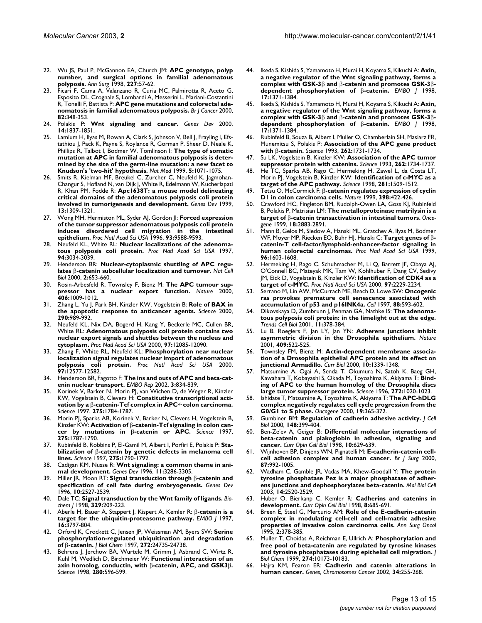- 22. Wu JS, Paul P, McGannon EA, Church JM: **[APC genotype, polyp](http://www.ncbi.nlm.nih.gov/entrez/query.fcgi?cmd=Retrieve&db=PubMed&dopt=Abstract&list_uids=10.1097/00000658-199801000-00009) [number, and surgical options in familial adenomatous](http://www.ncbi.nlm.nih.gov/entrez/query.fcgi?cmd=Retrieve&db=PubMed&dopt=Abstract&list_uids=10.1097/00000658-199801000-00009) [polyposis](http://www.ncbi.nlm.nih.gov/entrez/query.fcgi?cmd=Retrieve&db=PubMed&dopt=Abstract&list_uids=10.1097/00000658-199801000-00009)[.](http://www.ncbi.nlm.nih.gov/entrez/query.fcgi?cmd=Retrieve&db=PubMed&dopt=Abstract&list_uids=9445111)** *Ann Surg* 1998, **227:**57-62.
- 23. Ficari F, Cama A, Valanzano R, Curia MC, Palmirotta R, Aceto G, Esposito DL, Crognale S, Lombardi A, Messerini L, Mariani-Costantini R, Tonelli F, Battista P: **[APC gene mutations and colorectal ade](http://www.ncbi.nlm.nih.gov/entrez/query.fcgi?cmd=Retrieve&db=PubMed&dopt=Abstract&list_uids=10.1054/bjoc.1999.0925)[nomatosis in familial adenomatous polyposis](http://www.ncbi.nlm.nih.gov/entrez/query.fcgi?cmd=Retrieve&db=PubMed&dopt=Abstract&list_uids=10.1054/bjoc.1999.0925)[.](http://www.ncbi.nlm.nih.gov/entrez/query.fcgi?cmd=Retrieve&db=PubMed&dopt=Abstract&list_uids=10646887)** *Br J Cancer* 2000, **82:**348-353.
- 24. Polakis P: **[Wnt signaling and cancer.](http://www.ncbi.nlm.nih.gov/entrez/query.fcgi?cmd=Retrieve&db=PubMed&dopt=Abstract&list_uids=10921899)** *Genes Dev* 2000, **14:**1837-1851.
- 25. Lamlum H, Ilyas M, Rowan A, Clark S, Johnson V, Bell J, Frayling I, Efstathiou J, Pack K, Payne S, Roylance R, Gorman P, Sheer D, Neale K, Phillips R, Talbot I, Bodmer W, Tomlinson I: **[The type of somatic](http://www.ncbi.nlm.nih.gov/entrez/query.fcgi?cmd=Retrieve&db=PubMed&dopt=Abstract&list_uids=10.1038/12511) mutation at APC in familial adenomatous polyposis is deter[mined by the site of the germ-line mutation: a new facet to](http://www.ncbi.nlm.nih.gov/entrez/query.fcgi?cmd=Retrieve&db=PubMed&dopt=Abstract&list_uids=10.1038/12511) [Knudson's 'two-hit' hypothesis](http://www.ncbi.nlm.nih.gov/entrez/query.fcgi?cmd=Retrieve&db=PubMed&dopt=Abstract&list_uids=10.1038/12511)[.](http://www.ncbi.nlm.nih.gov/entrez/query.fcgi?cmd=Retrieve&db=PubMed&dopt=Abstract&list_uids=10470088)** *Nat Med* 1999, **5:**1071-1075.
- 26. Smits R, Kielman MF, Breukel C, Zurcher C, Neufeld K, Jagmohan-Changur S, Hofland N, van Dijk J, White R, Edelmann W, Kucherlapati R, Khan PM, Fodde R: **[Apc1638T: a mouse model delineating](http://www.ncbi.nlm.nih.gov/entrez/query.fcgi?cmd=Retrieve&db=PubMed&dopt=Abstract&list_uids=10346819) [critical domains of the adenomatous polyposis coli protein](http://www.ncbi.nlm.nih.gov/entrez/query.fcgi?cmd=Retrieve&db=PubMed&dopt=Abstract&list_uids=10346819) [involved in tumorigenesis and development.](http://www.ncbi.nlm.nih.gov/entrez/query.fcgi?cmd=Retrieve&db=PubMed&dopt=Abstract&list_uids=10346819)** *Genes Dev* 1999, **13:**1309-1321.
- 27. Wong MH, Hermiston ML, Syder AJ, Gordon JI: **[Forced expression](http://www.ncbi.nlm.nih.gov/entrez/query.fcgi?cmd=Retrieve&db=PubMed&dopt=Abstract&list_uids=38472) of the tumor suppressor adenomatous polyposis coli protein [induces disordered cell migration in the intestinal](http://www.ncbi.nlm.nih.gov/entrez/query.fcgi?cmd=Retrieve&db=PubMed&dopt=Abstract&list_uids=38472) [epithelium](http://www.ncbi.nlm.nih.gov/entrez/query.fcgi?cmd=Retrieve&db=PubMed&dopt=Abstract&list_uids=38472)[.](http://www.ncbi.nlm.nih.gov/entrez/query.fcgi?cmd=Retrieve&db=PubMed&dopt=Abstract&list_uids=10.1073/pnas.93.18.9588)** *Proc Natl Acad Sci USA* 1996, **93:**9588-9593.
- 28. Neufeld KL, White RL: **[Nuclear localizations of the adenoma](http://www.ncbi.nlm.nih.gov/entrez/query.fcgi?cmd=Retrieve&db=PubMed&dopt=Abstract&list_uids=20317)[tous polyposis coli protein](http://www.ncbi.nlm.nih.gov/entrez/query.fcgi?cmd=Retrieve&db=PubMed&dopt=Abstract&list_uids=20317)[.](http://www.ncbi.nlm.nih.gov/entrez/query.fcgi?cmd=Retrieve&db=PubMed&dopt=Abstract&list_uids=10.1073/pnas.94.7.3034)** *Proc Natl Acad Sci USA* 1997, **94:**3034-3039.
- 29. Henderson BR: **Nuclear-cytoplasmic shuttling of APC regulates** β**[-catenin subcellular localization and turnover](http://www.ncbi.nlm.nih.gov/entrez/query.fcgi?cmd=Retrieve&db=PubMed&dopt=Abstract&list_uids=10.1038/35023605)[.](http://www.ncbi.nlm.nih.gov/entrez/query.fcgi?cmd=Retrieve&db=PubMed&dopt=Abstract&list_uids=10980707)** *Nat Cell Biol* 2000, **2:**653-660.
- 30. Rosin-Arbesfeld R, Townsley F, Bienz M: **[The APC tumour sup](http://www.ncbi.nlm.nih.gov/entrez/query.fcgi?cmd=Retrieve&db=PubMed&dopt=Abstract&list_uids=10.1038/35023016)[pressor has a nuclear export function](http://www.ncbi.nlm.nih.gov/entrez/query.fcgi?cmd=Retrieve&db=PubMed&dopt=Abstract&list_uids=10.1038/35023016)[.](http://www.ncbi.nlm.nih.gov/entrez/query.fcgi?cmd=Retrieve&db=PubMed&dopt=Abstract&list_uids=10984057)** *Nature* 2000, **406:**1009-1012.
- 31. Zhang L, Yu J, Park BH, Kinzler KW, Vogelstein B: **[Role of BAX in](http://www.ncbi.nlm.nih.gov/entrez/query.fcgi?cmd=Retrieve&db=PubMed&dopt=Abstract&list_uids=10.1126/science.290.5493.989) [the apoptotic response to anticancer agents](http://www.ncbi.nlm.nih.gov/entrez/query.fcgi?cmd=Retrieve&db=PubMed&dopt=Abstract&list_uids=10.1126/science.290.5493.989)[.](http://www.ncbi.nlm.nih.gov/entrez/query.fcgi?cmd=Retrieve&db=PubMed&dopt=Abstract&list_uids=11062132)** *Science* 2000, **290:**989-992.
- 32. Neufeld KL, Nix DA, Bogerd H, Kang Y, Beckerle MC, Cullen BR, White RL: **[Adenomatous polyposis coli protein contains two](http://www.ncbi.nlm.nih.gov/entrez/query.fcgi?cmd=Retrieve&db=PubMed&dopt=Abstract&list_uids=17298) [nuclear export signals and shuttles between the nucleus and](http://www.ncbi.nlm.nih.gov/entrez/query.fcgi?cmd=Retrieve&db=PubMed&dopt=Abstract&list_uids=17298) [cytoplasm](http://www.ncbi.nlm.nih.gov/entrez/query.fcgi?cmd=Retrieve&db=PubMed&dopt=Abstract&list_uids=17298)[.](http://www.ncbi.nlm.nih.gov/entrez/query.fcgi?cmd=Retrieve&db=PubMed&dopt=Abstract&list_uids=10.1073/pnas.220401797)** *Proc Natl Acad Sci USA* 2000, **97:**12085-12090.
- 33. Zhang F, White RL, Neufeld KL: **[Phosphorylation near nuclear](http://www.ncbi.nlm.nih.gov/entrez/query.fcgi?cmd=Retrieve&db=PubMed&dopt=Abstract&list_uids=18806) [localization signal regulates nuclear import of adenomatous](http://www.ncbi.nlm.nih.gov/entrez/query.fcgi?cmd=Retrieve&db=PubMed&dopt=Abstract&list_uids=18806) [polyposis coli protein](http://www.ncbi.nlm.nih.gov/entrez/query.fcgi?cmd=Retrieve&db=PubMed&dopt=Abstract&list_uids=18806)[.](http://www.ncbi.nlm.nih.gov/entrez/query.fcgi?cmd=Retrieve&db=PubMed&dopt=Abstract&list_uids=10.1073/pnas.230435597)** *Proc Natl Acad Sci USA* 2000, **97:**12577-12582.
- 34. Henderson BR, Fagotto F: **[The ins and outs of APC and beta-cat](http://www.ncbi.nlm.nih.gov/entrez/query.fcgi?cmd=Retrieve&db=PubMed&dopt=Abstract&list_uids=10.1093/embo-reports/kvf181)[enin nuclear transport](http://www.ncbi.nlm.nih.gov/entrez/query.fcgi?cmd=Retrieve&db=PubMed&dopt=Abstract&list_uids=10.1093/embo-reports/kvf181)[.](http://www.ncbi.nlm.nih.gov/entrez/query.fcgi?cmd=Retrieve&db=PubMed&dopt=Abstract&list_uids=12223464)** *EMBO Rep* 2002, **3:**834-839.
- <span id="page-12-0"></span>35. Korinek V, Barker N, Morin PJ, van Wichen D, de Weger R, Kinzler KW, Vogelstein B, Clevers H: **Constitutive transcriptional activation by a** β**-catenin-Tcf complex in APC-/- [colon carcinoma](http://www.ncbi.nlm.nih.gov/entrez/query.fcgi?cmd=Retrieve&db=PubMed&dopt=Abstract&list_uids=10.1126/science.275.5307.1784)[.](http://www.ncbi.nlm.nih.gov/entrez/query.fcgi?cmd=Retrieve&db=PubMed&dopt=Abstract&list_uids=9065401)** *Science* 1997, **275:**1784-1787.
- 36. Morin PJ, Sparks AB, Korinek V, Barker N, Clevers H, Vogelstein B, Kinzler KW: **Activation of** β**-catenin-Tcf signaling in colon cancer by mutations in** β**[-catenin or APC](http://www.ncbi.nlm.nih.gov/entrez/query.fcgi?cmd=Retrieve&db=PubMed&dopt=Abstract&list_uids=10.1126/science.275.5307.1787)[.](http://www.ncbi.nlm.nih.gov/entrez/query.fcgi?cmd=Retrieve&db=PubMed&dopt=Abstract&list_uids=9065402)** *Science* 1997, **275:**1787-1790.
- 37. Rubinfeld B, Robbins P, El-Gamil M, Albert I, Porfiri E, Polakis P: **Stabilization of** β**[-catenin by genetic defects in melanoma cell](http://www.ncbi.nlm.nih.gov/entrez/query.fcgi?cmd=Retrieve&db=PubMed&dopt=Abstract&list_uids=10.1126/science.275.5307.1790) [lines](http://www.ncbi.nlm.nih.gov/entrez/query.fcgi?cmd=Retrieve&db=PubMed&dopt=Abstract&list_uids=10.1126/science.275.5307.1790)[.](http://www.ncbi.nlm.nih.gov/entrez/query.fcgi?cmd=Retrieve&db=PubMed&dopt=Abstract&list_uids=9065403)** *Science* 1997, **275:**1790-1792.
- 38. Cadigan KM, Nusse R: **Wnt signaling: a common theme in animal development.** *Genes Dev* 1996, **11:**3286-3305.
- 39. Miller JR, Moon RT: **Signal transduction through** β**[-catenin and](http://www.ncbi.nlm.nih.gov/entrez/query.fcgi?cmd=Retrieve&db=PubMed&dopt=Abstract&list_uids=8895655) [specification of cell fate during embryogenesis.](http://www.ncbi.nlm.nih.gov/entrez/query.fcgi?cmd=Retrieve&db=PubMed&dopt=Abstract&list_uids=8895655)** *Genes Dev* 1996, **10:**2527-2539.
- 40. Dale TC: **[Signal transduction by the Wnt family of ligands.](http://www.ncbi.nlm.nih.gov/entrez/query.fcgi?cmd=Retrieve&db=PubMed&dopt=Abstract&list_uids=9425102)** *Biochem J* 1998, **329:**209-223.
- 41. Aberle H, Bauer A, Stappert J, Kispert A, Kemler R: β**[-catenin is a](http://www.ncbi.nlm.nih.gov/entrez/query.fcgi?cmd=Retrieve&db=PubMed&dopt=Abstract&list_uids=10.1093/emboj/16.13.3797) [target for the ubiquitin-proteasome pathway](http://www.ncbi.nlm.nih.gov/entrez/query.fcgi?cmd=Retrieve&db=PubMed&dopt=Abstract&list_uids=10.1093/emboj/16.13.3797)[.](http://www.ncbi.nlm.nih.gov/entrez/query.fcgi?cmd=Retrieve&db=PubMed&dopt=Abstract&list_uids=9233789)** *EMBO J* 1997, **16:**3797-804.
- 42. Orford K, Crockett C, Jensen JP, Weissman AM, Byers SW: **Serine phosphorylation-regulated ubiquitination and degradation of** β**[-catenin](http://www.ncbi.nlm.nih.gov/entrez/query.fcgi?cmd=Retrieve&db=PubMed&dopt=Abstract&list_uids=10.1074/jbc.272.40.24735)[.](http://www.ncbi.nlm.nih.gov/entrez/query.fcgi?cmd=Retrieve&db=PubMed&dopt=Abstract&list_uids=9312064)** *J Biol Chem* 1997, **272:**24735-24738.
- Behrens J, Jerchow BA, Wurtele M, Grimm J, Asbrand C, Wirtz R, Kuhl M, Wedlich D, Birchmeier W: **Functional interaction of an axin homolog, conductin, with** β**-catenin, APC, and GSK3**β**[.](http://www.ncbi.nlm.nih.gov/entrez/query.fcgi?cmd=Retrieve&db=PubMed&dopt=Abstract&list_uids=9554852)** *Science* 1998, **280:**596-599.
- 44. Ikeda S, Kishida S, Yamamoto H, Murai H, Koyama S, Kikuchi A: **Axin, a negative regulator of the Wnt signaling pathway, forms a complex with GSK-3**β **and** β**-catenin and promotes GSK-3**β**dependent phosphorylation of** β**[-catenin](http://www.ncbi.nlm.nih.gov/entrez/query.fcgi?cmd=Retrieve&db=PubMed&dopt=Abstract&list_uids=10.1093/emboj/17.5.1371)[.](http://www.ncbi.nlm.nih.gov/entrez/query.fcgi?cmd=Retrieve&db=PubMed&dopt=Abstract&list_uids=9482734)** *EMBO J* 1998, **17:**1371-1384.
- 45. Ikeda S, Kishida S, Yamamoto H, Murai H, Koyama S, Kikuchi A: **Axin, a negative regulator of the Wnt signaling pathway, forms a complex with GSK-3**β **and** β**-catenin and promotes GSK-3**β**dependent phosphorylation of** β**[-catenin](http://www.ncbi.nlm.nih.gov/entrez/query.fcgi?cmd=Retrieve&db=PubMed&dopt=Abstract&list_uids=10.1093/emboj/17.5.1371)[.](http://www.ncbi.nlm.nih.gov/entrez/query.fcgi?cmd=Retrieve&db=PubMed&dopt=Abstract&list_uids=9482734)** *EMBO J* 1998, **17:**1371-1384.
- 46. Rubinfeld B, Souza B, Albert I, Muller O, Chamberlain SH, Masiarz FR, Munemitsu S, Polakis P: **Association of the APC gene product with** β**[-catenin.](http://www.ncbi.nlm.nih.gov/entrez/query.fcgi?cmd=Retrieve&db=PubMed&dopt=Abstract&list_uids=8259518)** *Science* 1993, **262:**1731-1734.
- 47. Su LK, Vogelstein B, Kinzler KW: **[Association of the APC tumor](http://www.ncbi.nlm.nih.gov/entrez/query.fcgi?cmd=Retrieve&db=PubMed&dopt=Abstract&list_uids=8259519) [suppressor protein with catenins.](http://www.ncbi.nlm.nih.gov/entrez/query.fcgi?cmd=Retrieve&db=PubMed&dopt=Abstract&list_uids=8259519)** *Science* 1993, **262:**1734-1737.
- 48. He TC, Sparks AB, Rago C, Hermeking H, Zawel L, da Costa LT, Morin PJ, Vogelstein B, Kinzler KW: **[Identification of c-MYC as a](http://www.ncbi.nlm.nih.gov/entrez/query.fcgi?cmd=Retrieve&db=PubMed&dopt=Abstract&list_uids=10.1126/science.281.5382.1509) [target of the APC pathway](http://www.ncbi.nlm.nih.gov/entrez/query.fcgi?cmd=Retrieve&db=PubMed&dopt=Abstract&list_uids=10.1126/science.281.5382.1509)[.](http://www.ncbi.nlm.nih.gov/entrez/query.fcgi?cmd=Retrieve&db=PubMed&dopt=Abstract&list_uids=9727977)** *Science* 1998, **281:**1509-1512.
- 49. Tetsu O, McCormick F: β**[-catenin regulates expression of cyclin](http://www.ncbi.nlm.nih.gov/entrez/query.fcgi?cmd=Retrieve&db=PubMed&dopt=Abstract&list_uids=10.1038/18884) [D1 in colon carcinoma cells](http://www.ncbi.nlm.nih.gov/entrez/query.fcgi?cmd=Retrieve&db=PubMed&dopt=Abstract&list_uids=10.1038/18884)[.](http://www.ncbi.nlm.nih.gov/entrez/query.fcgi?cmd=Retrieve&db=PubMed&dopt=Abstract&list_uids=10201372)** *Nature* 1999, **398:**422-426.
- 50. Crawford HC, Fingleton BM, Rudolph-Owen LA, Goss KJ, Rubinfeld B, Polakis P, Matrisian LM: **The metalloproteinase matrilysin is a target of** β**[-catenin transactivation in intestinal tumors](http://www.ncbi.nlm.nih.gov/entrez/query.fcgi?cmd=Retrieve&db=PubMed&dopt=Abstract&list_uids=10.1038/sj.onc.1202627)[.](http://www.ncbi.nlm.nih.gov/entrez/query.fcgi?cmd=Retrieve&db=PubMed&dopt=Abstract&list_uids=10362259)** *Oncogene* 1999, **18:**2883-2891.
- 51. Mann B, Gelos M, Siedow A, Hanski ML, Gratchev A, Ilyas M, Bodmer WF, Moyer MP, Riecken EO, Buhr HJ, Hanski C: **Target genes of** β**[catenin-T cell-factor/lymphoid-enhancer-factor signaling in](http://www.ncbi.nlm.nih.gov/entrez/query.fcgi?cmd=Retrieve&db=PubMed&dopt=Abstract&list_uids=15532) [human colorectal carcinomas](http://www.ncbi.nlm.nih.gov/entrez/query.fcgi?cmd=Retrieve&db=PubMed&dopt=Abstract&list_uids=15532)[.](http://www.ncbi.nlm.nih.gov/entrez/query.fcgi?cmd=Retrieve&db=PubMed&dopt=Abstract&list_uids=10.1073/pnas.96.4.1603)** *Proc Natl Acad Sci USA* 1999, **96:**1603-1608.
- 52. Hermeking H, Rago C, Schuhmacher M, Li Q, Barrett JF, Obaya AJ, O'Connell BC, Mateyak MK, Tam W, Kohlhuber F, Dang CV, Sedivy JM, Eick D, Vogelstein B, Kinzler KW: **[Identification of CDK4 as a](http://www.ncbi.nlm.nih.gov/entrez/query.fcgi?cmd=Retrieve&db=PubMed&dopt=Abstract&list_uids=15783) [target of c-MYC](http://www.ncbi.nlm.nih.gov/entrez/query.fcgi?cmd=Retrieve&db=PubMed&dopt=Abstract&list_uids=15783)[.](http://www.ncbi.nlm.nih.gov/entrez/query.fcgi?cmd=Retrieve&db=PubMed&dopt=Abstract&list_uids=10.1073/pnas.050586197)** *Proc Natl Acad Sci USA* 2000, **97:**2229-2234.
- 53. Serrano M, Lin AW, McCurrach ME, Beach D, Lowe SW: **[Oncogenic](http://www.ncbi.nlm.nih.gov/entrez/query.fcgi?cmd=Retrieve&db=PubMed&dopt=Abstract&list_uids=10.1016/S0092-8674(00)81902-9) [ras provokes premature cell senescence associated with](http://www.ncbi.nlm.nih.gov/entrez/query.fcgi?cmd=Retrieve&db=PubMed&dopt=Abstract&list_uids=10.1016/S0092-8674(00)81902-9) [accumulation of p53 and p16INK4a](http://www.ncbi.nlm.nih.gov/entrez/query.fcgi?cmd=Retrieve&db=PubMed&dopt=Abstract&list_uids=10.1016/S0092-8674(00)81902-9)[.](http://www.ncbi.nlm.nih.gov/entrez/query.fcgi?cmd=Retrieve&db=PubMed&dopt=Abstract&list_uids=9054499)** *Cell* 1997, **88:**593-602.
- 54. Dikovskaya D, Zumbrunn J, Penman GA, Nathke IS: **[The adenoma](http://www.ncbi.nlm.nih.gov/entrez/query.fcgi?cmd=Retrieve&db=PubMed&dopt=Abstract&list_uids=10.1016/S0962-8924(01)02069-4)[tous polyposis coli protein: in the limelight out at the edge](http://www.ncbi.nlm.nih.gov/entrez/query.fcgi?cmd=Retrieve&db=PubMed&dopt=Abstract&list_uids=10.1016/S0962-8924(01)02069-4)[.](http://www.ncbi.nlm.nih.gov/entrez/query.fcgi?cmd=Retrieve&db=PubMed&dopt=Abstract&list_uids=11514192)** *Trends Cell Biol* 2001, **11:**378-384.
- 55. Lu B, Roegiers F, Jan LY, Jan YN: **[Adherens junctions inhibit](http://www.ncbi.nlm.nih.gov/entrez/query.fcgi?cmd=Retrieve&db=PubMed&dopt=Abstract&list_uids=10.1038/35054077) [asymmetric division in the Drosophila epithelium](http://www.ncbi.nlm.nih.gov/entrez/query.fcgi?cmd=Retrieve&db=PubMed&dopt=Abstract&list_uids=10.1038/35054077)[.](http://www.ncbi.nlm.nih.gov/entrez/query.fcgi?cmd=Retrieve&db=PubMed&dopt=Abstract&list_uids=11206549)** *Nature* 2001, **409:**522-525.
- 56. Townsley FM, Bienz M: **[Actin-dependent membrane associa](http://www.ncbi.nlm.nih.gov/entrez/query.fcgi?cmd=Retrieve&db=PubMed&dopt=Abstract&list_uids=10.1016/S0960-9822(00)00770-3)[tion of a Drosophila epithelial APC protein and its effect on](http://www.ncbi.nlm.nih.gov/entrez/query.fcgi?cmd=Retrieve&db=PubMed&dopt=Abstract&list_uids=10.1016/S0960-9822(00)00770-3) [junctional Armadillo](http://www.ncbi.nlm.nih.gov/entrez/query.fcgi?cmd=Retrieve&db=PubMed&dopt=Abstract&list_uids=10.1016/S0960-9822(00)00770-3)[.](http://www.ncbi.nlm.nih.gov/entrez/query.fcgi?cmd=Retrieve&db=PubMed&dopt=Abstract&list_uids=11084333)** *Curr Biol* 2000, **10:**1339-1348.
- Matsumine A, Ogai A, Senda T, Okumura N, Satoh K, Baeg GH, Kawahara T, Kobayashi S, Okada M, Toyoshima K, Akiyama T: **[Bind](http://www.ncbi.nlm.nih.gov/entrez/query.fcgi?cmd=Retrieve&db=PubMed&dopt=Abstract&list_uids=8638125)[ing of APC to the human homolog of the Drosophila discs](http://www.ncbi.nlm.nih.gov/entrez/query.fcgi?cmd=Retrieve&db=PubMed&dopt=Abstract&list_uids=8638125) [large tumor suppressor protein.](http://www.ncbi.nlm.nih.gov/entrez/query.fcgi?cmd=Retrieve&db=PubMed&dopt=Abstract&list_uids=8638125)** *Science* 1996, **272:**1020-1023.
- 58. Ishidate T, Matsumine A, Toyoshima K, Akiyama T: **[The APC-hDLG](http://www.ncbi.nlm.nih.gov/entrez/query.fcgi?cmd=Retrieve&db=PubMed&dopt=Abstract&list_uids=10.1038/sj.onc.1203309) [complex negatively regulates cell cycle progression from the](http://www.ncbi.nlm.nih.gov/entrez/query.fcgi?cmd=Retrieve&db=PubMed&dopt=Abstract&list_uids=10.1038/sj.onc.1203309) [G0/G1 to S phase](http://www.ncbi.nlm.nih.gov/entrez/query.fcgi?cmd=Retrieve&db=PubMed&dopt=Abstract&list_uids=10.1038/sj.onc.1203309)[.](http://www.ncbi.nlm.nih.gov/entrez/query.fcgi?cmd=Retrieve&db=PubMed&dopt=Abstract&list_uids=10656683)** *Oncogene* 2000, **19:**365-372.
- 59. Gumbiner BM: **[Regulation of cadherin adhesive activity](http://www.ncbi.nlm.nih.gov/entrez/query.fcgi?cmd=Retrieve&db=PubMed&dopt=Abstract&list_uids=10.1083/jcb.148.3.399)[.](http://www.ncbi.nlm.nih.gov/entrez/query.fcgi?cmd=Retrieve&db=PubMed&dopt=Abstract&list_uids=10662767)** *J Cell Biol* 2000, **148:**399-404.
- 60. Ben-Ze'ev A, Geiger B: **[Differential molecular interactions of](http://www.ncbi.nlm.nih.gov/entrez/query.fcgi?cmd=Retrieve&db=PubMed&dopt=Abstract&list_uids=10.1016/S0955-0674(98)80039-2) [beta-catenin and plakoglobin in adhesion, signaling and](http://www.ncbi.nlm.nih.gov/entrez/query.fcgi?cmd=Retrieve&db=PubMed&dopt=Abstract&list_uids=10.1016/S0955-0674(98)80039-2) [cancer](http://www.ncbi.nlm.nih.gov/entrez/query.fcgi?cmd=Retrieve&db=PubMed&dopt=Abstract&list_uids=10.1016/S0955-0674(98)80039-2)[.](http://www.ncbi.nlm.nih.gov/entrez/query.fcgi?cmd=Retrieve&db=PubMed&dopt=Abstract&list_uids=9818174)** *Curr Opin Cell Biol* 1998, **10:**629-639.
- 61. Wijnhoven BP, Dinjens WN, Pignatelli M: **[E-cadherin-catenin cell](http://www.ncbi.nlm.nih.gov/entrez/query.fcgi?cmd=Retrieve&db=PubMed&dopt=Abstract&list_uids=10.1046/j.1365-2168.2000.01513.x)[cell adhesion complex and human cancer](http://www.ncbi.nlm.nih.gov/entrez/query.fcgi?cmd=Retrieve&db=PubMed&dopt=Abstract&list_uids=10.1046/j.1365-2168.2000.01513.x)[.](http://www.ncbi.nlm.nih.gov/entrez/query.fcgi?cmd=Retrieve&db=PubMed&dopt=Abstract&list_uids=10931041)** *Br J Surg* 2000, **87:**992-1005.
- 62. Wadham C, Gamble JR, Vadas MA, Khew-Goodall Y: **[The protein](http://www.ncbi.nlm.nih.gov/entrez/query.fcgi?cmd=Retrieve&db=PubMed&dopt=Abstract&list_uids=194899) [tyrosine phosphatase Pez is a major phosphatase of adher](http://www.ncbi.nlm.nih.gov/entrez/query.fcgi?cmd=Retrieve&db=PubMed&dopt=Abstract&list_uids=194899)[ens junctions and dephosphorylates beta-catenin](http://www.ncbi.nlm.nih.gov/entrez/query.fcgi?cmd=Retrieve&db=PubMed&dopt=Abstract&list_uids=194899)[.](http://www.ncbi.nlm.nih.gov/entrez/query.fcgi?cmd=Retrieve&db=PubMed&dopt=Abstract&list_uids=10.1091/mbc.E02-09-0577)** *Mol Biol Cell* 2003, **14:**2520-2529.
- 63. Huber O, Bierkanp C, Kemler R: **[Cadherins and catenins in](http://www.ncbi.nlm.nih.gov/entrez/query.fcgi?cmd=Retrieve&db=PubMed&dopt=Abstract&list_uids=10.1016/S0955-0674(96)80110-4) [development.](http://www.ncbi.nlm.nih.gov/entrez/query.fcgi?cmd=Retrieve&db=PubMed&dopt=Abstract&list_uids=10.1016/S0955-0674(96)80110-4)** *Curr Opin Cell Biol* 1998, **8:**685-691.
- 64. Breen E, Steel G, Mercurio AM: **[Role of the E-cadherin-catenin](http://www.ncbi.nlm.nih.gov/entrez/query.fcgi?cmd=Retrieve&db=PubMed&dopt=Abstract&list_uids=7496831) [complex in modulating cell-cell and cell-matrix adhesive](http://www.ncbi.nlm.nih.gov/entrez/query.fcgi?cmd=Retrieve&db=PubMed&dopt=Abstract&list_uids=7496831) [properties of invasive colon carcinoma cells.](http://www.ncbi.nlm.nih.gov/entrez/query.fcgi?cmd=Retrieve&db=PubMed&dopt=Abstract&list_uids=7496831)** *Ann Surg Oncol* 1995, **2:**378-385.
- 65. Muller T, Choidas A, Reichman E, Ullrich A: **[Phosphorylation and](http://www.ncbi.nlm.nih.gov/entrez/query.fcgi?cmd=Retrieve&db=PubMed&dopt=Abstract&list_uids=10.1074/jbc.274.15.10173) [free pool of beta-catenin are regulated by tyrosine kinases](http://www.ncbi.nlm.nih.gov/entrez/query.fcgi?cmd=Retrieve&db=PubMed&dopt=Abstract&list_uids=10.1074/jbc.274.15.10173) [and tyrosine phosphatases during epithelial cell migration](http://www.ncbi.nlm.nih.gov/entrez/query.fcgi?cmd=Retrieve&db=PubMed&dopt=Abstract&list_uids=10.1074/jbc.274.15.10173)[.](http://www.ncbi.nlm.nih.gov/entrez/query.fcgi?cmd=Retrieve&db=PubMed&dopt=Abstract&list_uids=10187801)** *J Biol Chem* 1999, **274:**10173-10183.
- 66. Hajra KM, Fearon ER: **[Cadherin and catenin alterations in](http://www.ncbi.nlm.nih.gov/entrez/query.fcgi?cmd=Retrieve&db=PubMed&dopt=Abstract&list_uids=10.1002/gcc.10083) [human cancer](http://www.ncbi.nlm.nih.gov/entrez/query.fcgi?cmd=Retrieve&db=PubMed&dopt=Abstract&list_uids=10.1002/gcc.10083)[.](http://www.ncbi.nlm.nih.gov/entrez/query.fcgi?cmd=Retrieve&db=PubMed&dopt=Abstract&list_uids=12007186)** *Genes, Chromosomes Cancer* 2002, **34:**255-268.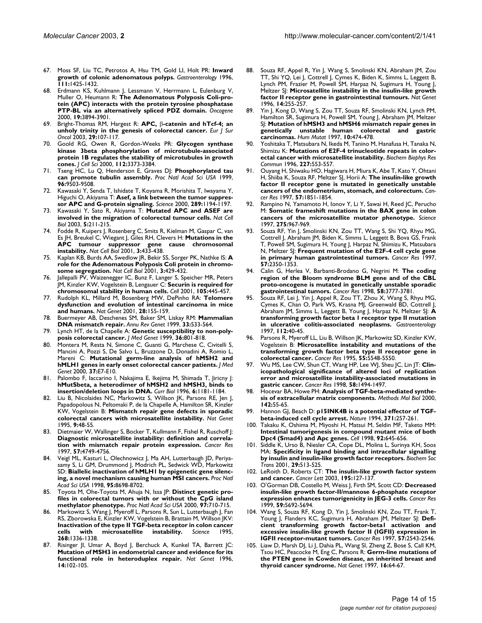- 67. Moss SF, Liu TC, Petrotos A, Hsu TM, Gold LI, Holt PR: **[Inward](http://www.ncbi.nlm.nih.gov/entrez/query.fcgi?cmd=Retrieve&db=PubMed&dopt=Abstract&list_uids=8942720) [growth of colonic adenomatous polyps.](http://www.ncbi.nlm.nih.gov/entrez/query.fcgi?cmd=Retrieve&db=PubMed&dopt=Abstract&list_uids=8942720)** *Gastroenterology* 1996, **111:**1425-1432.
- Erdmann KS, Kuhlmann J, Lessmann V, Herrmann L, Eulenburg V, Muller O, Heumann R: **[The Adenomatous Polyposis Coli-pro](http://www.ncbi.nlm.nih.gov/entrez/query.fcgi?cmd=Retrieve&db=PubMed&dopt=Abstract&list_uids=10.1038/sj.onc.1203725)[tein \(APC\) interacts with the protein tyrosine phosphatase](http://www.ncbi.nlm.nih.gov/entrez/query.fcgi?cmd=Retrieve&db=PubMed&dopt=Abstract&list_uids=10.1038/sj.onc.1203725) [PTP-BL via an alternatively spliced PDZ domain](http://www.ncbi.nlm.nih.gov/entrez/query.fcgi?cmd=Retrieve&db=PubMed&dopt=Abstract&list_uids=10.1038/sj.onc.1203725)[.](http://www.ncbi.nlm.nih.gov/entrez/query.fcgi?cmd=Retrieve&db=PubMed&dopt=Abstract&list_uids=10951583)** *Oncogene* 2000, **19:**3894-3901.
- 69. Bright-Thomas RM, Hargest R: **APC,** β**[-catenin and hTcf-4; an](http://www.ncbi.nlm.nih.gov/entrez/query.fcgi?cmd=Retrieve&db=PubMed&dopt=Abstract&list_uids=10.1053/ejso.2002.1331) [unholy trinity in the genesis of colorectal cancer.](http://www.ncbi.nlm.nih.gov/entrez/query.fcgi?cmd=Retrieve&db=PubMed&dopt=Abstract&list_uids=10.1053/ejso.2002.1331)** *Eur J Sur Oncol* 2003, **29:**107-117.
- 70. Goold RG, Owen R, Gordon-Weeks PR: **Glycogen synthase kinase 3beta phosphorylation of microtubule-associated protein 1B regulates the stability of microtubules in growth cones.** *J Cell Sci* 2000, **112:**3373-3384.
- 71. Tseng HC, Lu Q, Henderson E, Graves DJ: **[Phosphorylated tau](http://www.ncbi.nlm.nih.gov/entrez/query.fcgi?cmd=Retrieve&db=PubMed&dopt=Abstract&list_uids=22238) [can promote tubulin assembly](http://www.ncbi.nlm.nih.gov/entrez/query.fcgi?cmd=Retrieve&db=PubMed&dopt=Abstract&list_uids=22238)[.](http://www.ncbi.nlm.nih.gov/entrez/query.fcgi?cmd=Retrieve&db=PubMed&dopt=Abstract&list_uids=10.1073/pnas.96.17.9503)** *Proc Natl Acad Sci USA* 1999, **96:**9503-9508.
- 72. Kawasaki Y, Senda T, Ishidate T, Koyama R, Morishita T, Iwayama Y, Higuchi O, Akiyama T: **[Asef, a link between the tumor suppres](http://www.ncbi.nlm.nih.gov/entrez/query.fcgi?cmd=Retrieve&db=PubMed&dopt=Abstract&list_uids=10.1126/science.289.5482.1194)[sor APC and G-protein signaling](http://www.ncbi.nlm.nih.gov/entrez/query.fcgi?cmd=Retrieve&db=PubMed&dopt=Abstract&list_uids=10.1126/science.289.5482.1194)[.](http://www.ncbi.nlm.nih.gov/entrez/query.fcgi?cmd=Retrieve&db=PubMed&dopt=Abstract&list_uids=10947987)** *Science* 2000, **289:**1194-1197.
- 73. Kawasaki Y, Sato R, Akiyama T: **[Mutated APC and ASEF are](http://www.ncbi.nlm.nih.gov/entrez/query.fcgi?cmd=Retrieve&db=PubMed&dopt=Abstract&list_uids=10.1038/ncb937) [involved in the migration of colorectal tumour cells](http://www.ncbi.nlm.nih.gov/entrez/query.fcgi?cmd=Retrieve&db=PubMed&dopt=Abstract&list_uids=10.1038/ncb937)[.](http://www.ncbi.nlm.nih.gov/entrez/query.fcgi?cmd=Retrieve&db=PubMed&dopt=Abstract&list_uids=12598901)** *Nat Cell Biol* 2003, **5:**211-215.
- 74. Fodde R, Kuipers J, Rosenberg C, Smits R, Kielman M, Gaspar C, van Es JH, Breukel C, Wiegant J, Giles RH, Clevers H: **[Mutations in the](http://www.ncbi.nlm.nih.gov/entrez/query.fcgi?cmd=Retrieve&db=PubMed&dopt=Abstract&list_uids=10.1038/35070129) [APC tumour suppressor gene cause chromosomal](http://www.ncbi.nlm.nih.gov/entrez/query.fcgi?cmd=Retrieve&db=PubMed&dopt=Abstract&list_uids=10.1038/35070129) [instability](http://www.ncbi.nlm.nih.gov/entrez/query.fcgi?cmd=Retrieve&db=PubMed&dopt=Abstract&list_uids=10.1038/35070129)[.](http://www.ncbi.nlm.nih.gov/entrez/query.fcgi?cmd=Retrieve&db=PubMed&dopt=Abstract&list_uids=11283620)** *Nat Cell Biol* 2001, **3:**433-438.
- 75. Kaplan KB, Burds AA, Swedlow JR, Bekir SS, Sorger PK, Nathke IS: **[A](http://www.ncbi.nlm.nih.gov/entrez/query.fcgi?cmd=Retrieve&db=PubMed&dopt=Abstract&list_uids=10.1038/35070123) [role for the Adenomatous Polyposis Coli protein in chromo](http://www.ncbi.nlm.nih.gov/entrez/query.fcgi?cmd=Retrieve&db=PubMed&dopt=Abstract&list_uids=10.1038/35070123)[some segregation](http://www.ncbi.nlm.nih.gov/entrez/query.fcgi?cmd=Retrieve&db=PubMed&dopt=Abstract&list_uids=10.1038/35070123)[.](http://www.ncbi.nlm.nih.gov/entrez/query.fcgi?cmd=Retrieve&db=PubMed&dopt=Abstract&list_uids=11283619)** *Nat Cell Biol* 2001, **3:**429-432.
- 76. Jallepalli PV, Waizenegger IC, Bunz F, Langer S, Speicher MR, Peters JM, Kinzler KW, Vogelstein B, Lengauer C: **[Securin is required for](http://www.ncbi.nlm.nih.gov/entrez/query.fcgi?cmd=Retrieve&db=PubMed&dopt=Abstract&list_uids=10.1016/S0092-8674(01)00340-3) [chromosomal stability in human cells](http://www.ncbi.nlm.nih.gov/entrez/query.fcgi?cmd=Retrieve&db=PubMed&dopt=Abstract&list_uids=10.1016/S0092-8674(01)00340-3)[.](http://www.ncbi.nlm.nih.gov/entrez/query.fcgi?cmd=Retrieve&db=PubMed&dopt=Abstract&list_uids=11371342)** *Cell* 2001, **105:**445-457.
- 77. Rudolph KL, Millard M, Bosenberg MW, DePinho RA: **[Telomere](http://www.ncbi.nlm.nih.gov/entrez/query.fcgi?cmd=Retrieve&db=PubMed&dopt=Abstract&list_uids=10.1038/88871) [dysfunction and evolution of intestinal carcinoma in mice](http://www.ncbi.nlm.nih.gov/entrez/query.fcgi?cmd=Retrieve&db=PubMed&dopt=Abstract&list_uids=10.1038/88871) [and humans](http://www.ncbi.nlm.nih.gov/entrez/query.fcgi?cmd=Retrieve&db=PubMed&dopt=Abstract&list_uids=10.1038/88871)[.](http://www.ncbi.nlm.nih.gov/entrez/query.fcgi?cmd=Retrieve&db=PubMed&dopt=Abstract&list_uids=11381263)** *Nat Genet* 2001, **28:**155-159.
- 78. Buermeyer AB, Deschenes SM, Baker SM, Liskay RM: **[Mammalian](http://www.ncbi.nlm.nih.gov/entrez/query.fcgi?cmd=Retrieve&db=PubMed&dopt=Abstract&list_uids=10.1146/annurev.genet.33.1.533) [DNA mismatch repair](http://www.ncbi.nlm.nih.gov/entrez/query.fcgi?cmd=Retrieve&db=PubMed&dopt=Abstract&list_uids=10.1146/annurev.genet.33.1.533)[.](http://www.ncbi.nlm.nih.gov/entrez/query.fcgi?cmd=Retrieve&db=PubMed&dopt=Abstract&list_uids=10690417)** *Annu Rev Genet* 1999, **33:**533-564.
- 79. Lynch HT, de la Chapelle A: **[Genetic susceptibility to non-poly](http://www.ncbi.nlm.nih.gov/entrez/query.fcgi?cmd=Retrieve&db=PubMed&dopt=Abstract&list_uids=10544223)[posis colorectal cancer.](http://www.ncbi.nlm.nih.gov/entrez/query.fcgi?cmd=Retrieve&db=PubMed&dopt=Abstract&list_uids=10544223)** *J Med Genet* 1999, **36:**801-818.
- 80. Montera M, Resta N, Simone C, Guanti G, Marchese C, Civitelli S, Mancini A, Pozzi S, De Salvo L, Bruzzone D, Donadini A, Romio L, Mareni C: **[Mutational germ-line analysis of hMSH2 and](http://www.ncbi.nlm.nih.gov/entrez/query.fcgi?cmd=Retrieve&db=PubMed&dopt=Abstract&list_uids=10.1136/jmg.37.7.e7) [hMLH1 genes in early onset colorectal cancer patients](http://www.ncbi.nlm.nih.gov/entrez/query.fcgi?cmd=Retrieve&db=PubMed&dopt=Abstract&list_uids=10.1136/jmg.37.7.e7)[.](http://www.ncbi.nlm.nih.gov/entrez/query.fcgi?cmd=Retrieve&db=PubMed&dopt=Abstract&list_uids=10882759)** *J Med Genet* 2000, **37:**E7-E10.
- 81. Palombo F, Iaccarino I, Nakajima E, Ikejima M, Shimada T, Jiricny J: **[hMutSbeta, a heterodimer of hMSH2 and hMSH3, binds to](http://www.ncbi.nlm.nih.gov/entrez/query.fcgi?cmd=Retrieve&db=PubMed&dopt=Abstract&list_uids=8805365) [insertion/deletion loops in DNA.](http://www.ncbi.nlm.nih.gov/entrez/query.fcgi?cmd=Retrieve&db=PubMed&dopt=Abstract&list_uids=8805365)** *Curr Biol* 1996, **6:**1181-1184.
- 82. Liu B, Nicolaides NC, Markowitz S, Willson JK, Parsons RE, Jen J, Papadopolous N, Peltomaki P, de la Chapelle A, Hamilton SR, Kinzler KW, Vogelstein B: **[Mismatch repair gene defects in sporadic](http://www.ncbi.nlm.nih.gov/entrez/query.fcgi?cmd=Retrieve&db=PubMed&dopt=Abstract&list_uids=7704024) [colorectal cancers with microsatellite instability.](http://www.ncbi.nlm.nih.gov/entrez/query.fcgi?cmd=Retrieve&db=PubMed&dopt=Abstract&list_uids=7704024)** *Nat Genet* 1995, **9:**48-55.
- Dietmaier W, Wallinger S, Bocker T, Kullmann F, Fishel R, Ruschoff J: **[Diagnostic microsatellite instability: definition and correla](http://www.ncbi.nlm.nih.gov/entrez/query.fcgi?cmd=Retrieve&db=PubMed&dopt=Abstract&list_uids=9354436)[tion with mismatch repair protein expression.](http://www.ncbi.nlm.nih.gov/entrez/query.fcgi?cmd=Retrieve&db=PubMed&dopt=Abstract&list_uids=9354436)** *Cancer Res* 1997, **57:**4749-4756.
- 84. Veigl ML, Kasturi L, Olechnowicz J, Ma AH, Lutterbaugh JD, Periyasamy S, Li GM, Drummond J, Modrich PL, Sedwick WD, Markowitz SD: **[Biallelic inactivation of hMLH1 by epigenetic gene silenc](http://www.ncbi.nlm.nih.gov/entrez/query.fcgi?cmd=Retrieve&db=PubMed&dopt=Abstract&list_uids=21139)[ing, a novel mechanism causing human MSI cancers](http://www.ncbi.nlm.nih.gov/entrez/query.fcgi?cmd=Retrieve&db=PubMed&dopt=Abstract&list_uids=21139)[.](http://www.ncbi.nlm.nih.gov/entrez/query.fcgi?cmd=Retrieve&db=PubMed&dopt=Abstract&list_uids=10.1073/pnas.95.15.8698)** *Proc Natl Acad Sci USA* 1998, **95:**8698-8702.
- 85. Toyota M, Ohe-Toyota M, Ahuja N, Issa JP: **[Distinct genetic pro](http://www.ncbi.nlm.nih.gov/entrez/query.fcgi?cmd=Retrieve&db=PubMed&dopt=Abstract&list_uids=15395)[files in colorectal tumors with or without the CpG island](http://www.ncbi.nlm.nih.gov/entrez/query.fcgi?cmd=Retrieve&db=PubMed&dopt=Abstract&list_uids=15395) [methylator phenotype](http://www.ncbi.nlm.nih.gov/entrez/query.fcgi?cmd=Retrieve&db=PubMed&dopt=Abstract&list_uids=15395)[.](http://www.ncbi.nlm.nih.gov/entrez/query.fcgi?cmd=Retrieve&db=PubMed&dopt=Abstract&list_uids=10.1073/pnas.97.2.710)** *Proc Natl Acad Sci USA* 2000, **97:**710-715.
- 86. Markowitz S, Wang J, Myeroff L, Parsons R, Sun L, Lutterbaugh J, Fan RS, Zborowska E, Kinzler KW, Vogelstein B, Brattain M, Willson JKV: **[Inactivation of the type II TGF-beta receptor in colon cancer](http://www.ncbi.nlm.nih.gov/entrez/query.fcgi?cmd=Retrieve&db=PubMed&dopt=Abstract&list_uids=7761852) [cells with microsatellite instability.](http://www.ncbi.nlm.nih.gov/entrez/query.fcgi?cmd=Retrieve&db=PubMed&dopt=Abstract&list_uids=7761852)** *Science* 1995, **268:**1336-1338.
- Risinger JI, Umar A, Boyd J, Berchuck A, Kunkel TA, Barrett JC: **[Mutation of MSH3 in endometrial cancer and evidence for its](http://www.ncbi.nlm.nih.gov/entrez/query.fcgi?cmd=Retrieve&db=PubMed&dopt=Abstract&list_uids=8782829) [functional role in heteroduplex repair.](http://www.ncbi.nlm.nih.gov/entrez/query.fcgi?cmd=Retrieve&db=PubMed&dopt=Abstract&list_uids=8782829)** *Nat Genet* 1996, **14:**102-105.
- 88. Souza RF, Appel R, Yin J, Wang S, Smolinski KN, Abraham JM, Zou TT, Shi YQ, Lei J, Cottrell J, Cymes K, Biden K, Simms L, Leggett B, Lynch PM, Frazier M, Powell SM, Harpaz N, Sugimura H, Young J, Meltzer SJ: **[Microsatellite instability in the insulin-like growth](http://www.ncbi.nlm.nih.gov/entrez/query.fcgi?cmd=Retrieve&db=PubMed&dopt=Abstract&list_uids=8896552) [factor II receptor gene in gastrointestinal tumours.](http://www.ncbi.nlm.nih.gov/entrez/query.fcgi?cmd=Retrieve&db=PubMed&dopt=Abstract&list_uids=8896552)** *Nat Genet* 1996, **14:**255-257.
- 89. Yin J, Kong D, Wang S, Zou TT, Souza RF, Smolinski KN, Lynch PM, Hamilton SR, Sugimura H, Powell SM, Young J, Abraham JM, Meltzer SJ: **[Mutation of hMSH3 and hMSH6 mismatch repair genes in](http://www.ncbi.nlm.nih.gov/entrez/query.fcgi?cmd=Retrieve&db=PubMed&dopt=Abstract&list_uids=10.1002/(SICI)1098-1004(1997)10:6<474::AID-HUMU9>3.3.CO;2-Z) [genetically unstable human colorectal and gastric](http://www.ncbi.nlm.nih.gov/entrez/query.fcgi?cmd=Retrieve&db=PubMed&dopt=Abstract&list_uids=10.1002/(SICI)1098-1004(1997)10:6<474::AID-HUMU9>3.3.CO;2-Z) [carcinomas](http://www.ncbi.nlm.nih.gov/entrez/query.fcgi?cmd=Retrieve&db=PubMed&dopt=Abstract&list_uids=10.1002/(SICI)1098-1004(1997)10:6<474::AID-HUMU9>3.3.CO;2-Z)[.](http://www.ncbi.nlm.nih.gov/entrez/query.fcgi?cmd=Retrieve&db=PubMed&dopt=Abstract&list_uids=9401011)** *Hum Mutat* 1997, **10:**474-478.
- 90. Yoshitaka T, Matsubara N, Ikeda M, Tanino M, Hanafusa H, Tanaka N, Shimizu K: **[Mutations of E2F-4 trinucleotide repeats in color](http://www.ncbi.nlm.nih.gov/entrez/query.fcgi?cmd=Retrieve&db=PubMed&dopt=Abstract&list_uids=10.1006/bbrc.1996.1544)[ectal cancer with microsatellite instability](http://www.ncbi.nlm.nih.gov/entrez/query.fcgi?cmd=Retrieve&db=PubMed&dopt=Abstract&list_uids=10.1006/bbrc.1996.1544)[.](http://www.ncbi.nlm.nih.gov/entrez/query.fcgi?cmd=Retrieve&db=PubMed&dopt=Abstract&list_uids=8878551)** *Biochem Biophys Res Commun* 1996, **227:**553-557.
- 91. Ouyang H, Shiwaku HO, Hagiwara H, Miura K, Abe T, Kato Y, Ohtani H, Shiiba K, Souza RF, Meltzer SJ, Horii A: **[The insulin-like growth](http://www.ncbi.nlm.nih.gov/entrez/query.fcgi?cmd=Retrieve&db=PubMed&dopt=Abstract&list_uids=9157973) [factor II receptor gene is mutated in genetically unstable](http://www.ncbi.nlm.nih.gov/entrez/query.fcgi?cmd=Retrieve&db=PubMed&dopt=Abstract&list_uids=9157973) [cancers of the endometrium, stomach, and colorectum.](http://www.ncbi.nlm.nih.gov/entrez/query.fcgi?cmd=Retrieve&db=PubMed&dopt=Abstract&list_uids=9157973)** *Cancer Res* 1997, **57:**1851-1854.
- 92. Rampino N, Yamamoto H, Ionov Y, Li Y, Sawai H, Reed JC, Perucho M: **[Somatic frameshift mutations in the BAX gene in colon](http://www.ncbi.nlm.nih.gov/entrez/query.fcgi?cmd=Retrieve&db=PubMed&dopt=Abstract&list_uids=10.1126/science.275.5302.967) [cancers of the microsatellite mutator phenotype](http://www.ncbi.nlm.nih.gov/entrez/query.fcgi?cmd=Retrieve&db=PubMed&dopt=Abstract&list_uids=10.1126/science.275.5302.967)[.](http://www.ncbi.nlm.nih.gov/entrez/query.fcgi?cmd=Retrieve&db=PubMed&dopt=Abstract&list_uids=9020077)** *Science* 1997, **275:**967-969.
- 93. Souza RF, Yin J, Smolinski KN, Zou TT, Wang S, Shi YQ, Rhyu MG, Cottrell J, Abraham JM, Biden K, Simms L, Leggett B, Bova GS, Frank T, Powell SM, Sugimura H, Young J, Harpaz N, Shimizu K, Matsubara N, Meltzer SJ: **[Frequent mutation of the E2F-4 cell cycle gene](http://www.ncbi.nlm.nih.gov/entrez/query.fcgi?cmd=Retrieve&db=PubMed&dopt=Abstract&list_uids=9192806) [in primary human gastrointestinal tumors.](http://www.ncbi.nlm.nih.gov/entrez/query.fcgi?cmd=Retrieve&db=PubMed&dopt=Abstract&list_uids=9192806)** *Cancer Res* 1997, **57:**2350-1353.
- 94. Calin G, Herlea V, Barbanti-Brodano G, Negrini M: **[The coding](http://www.ncbi.nlm.nih.gov/entrez/query.fcgi?cmd=Retrieve&db=PubMed&dopt=Abstract&list_uids=9731483) region of the Bloom syndrome BLM gene and of the CBL [proto-oncogene is mutated in genetically unstable sporadic](http://www.ncbi.nlm.nih.gov/entrez/query.fcgi?cmd=Retrieve&db=PubMed&dopt=Abstract&list_uids=9731483) [gastrointestinal tumors.](http://www.ncbi.nlm.nih.gov/entrez/query.fcgi?cmd=Retrieve&db=PubMed&dopt=Abstract&list_uids=9731483)** *Cancer Res* 1998, **58:**3777-3781.
- 95. Souza RF, Lei J, Yin J, Appel R, Zou TT, Zhou X, Wang S, Rhyu MG, Cymes K, Chan O, Park WS, Krasna MJ, Greenwald BD, Cottrell J, Abraham JM, Simms L, Leggett B, Young J, Harpaz N, Meltzer SJ: **[A](http://www.ncbi.nlm.nih.gov/entrez/query.fcgi?cmd=Retrieve&db=PubMed&dopt=Abstract&list_uids=8978341) [transforming growth factor beta 1 receptor type II mutation](http://www.ncbi.nlm.nih.gov/entrez/query.fcgi?cmd=Retrieve&db=PubMed&dopt=Abstract&list_uids=8978341) [in ulcerative colitis-associated neoplasms.](http://www.ncbi.nlm.nih.gov/entrez/query.fcgi?cmd=Retrieve&db=PubMed&dopt=Abstract&list_uids=8978341)** *Gastroenterology* 1997, **112:**40-45.
- 96. Parsons R, Myeroff LL, Liu B, Willson JK, Markowitz SD, Kinzler KW, Vogelstein B: **[Microsatellite instability and mutations of the](http://www.ncbi.nlm.nih.gov/entrez/query.fcgi?cmd=Retrieve&db=PubMed&dopt=Abstract&list_uids=7585632) [transforming growth factor beta type II receptor gene in](http://www.ncbi.nlm.nih.gov/entrez/query.fcgi?cmd=Retrieve&db=PubMed&dopt=Abstract&list_uids=7585632) [colorectal cancer.](http://www.ncbi.nlm.nih.gov/entrez/query.fcgi?cmd=Retrieve&db=PubMed&dopt=Abstract&list_uids=7585632)** *Cancer Res* 1995, **55:**5548-5550.
- 97. Wu MS, Lee CW, Shun CT, Wang HP, Lee WJ, Sheu JC, Lin JT: **[Clin](http://www.ncbi.nlm.nih.gov/entrez/query.fcgi?cmd=Retrieve&db=PubMed&dopt=Abstract&list_uids=9537253)icopathological significance of altered loci of replication [error and microsatellite instability-associated mutations in](http://www.ncbi.nlm.nih.gov/entrez/query.fcgi?cmd=Retrieve&db=PubMed&dopt=Abstract&list_uids=9537253) [gastric cancer.](http://www.ncbi.nlm.nih.gov/entrez/query.fcgi?cmd=Retrieve&db=PubMed&dopt=Abstract&list_uids=9537253)** *Cancer Res* 1998, **58:**1494-1497.
- 98. Hocevar BA, Howe PH: **[Analysis of TGF-beta-mediated synthe](http://www.ncbi.nlm.nih.gov/entrez/query.fcgi?cmd=Retrieve&db=PubMed&dopt=Abstract&list_uids=10.1385/1-59259-053-5:55)[sis of extracellular matrix components](http://www.ncbi.nlm.nih.gov/entrez/query.fcgi?cmd=Retrieve&db=PubMed&dopt=Abstract&list_uids=10.1385/1-59259-053-5:55)[.](http://www.ncbi.nlm.nih.gov/entrez/query.fcgi?cmd=Retrieve&db=PubMed&dopt=Abstract&list_uids=10806613)** *Methods Mol Biol* 2000, **142:**55-65.
- 99. Hannon GJ, Beach D: **[p15INK4B is a potential effector of TGF](http://www.ncbi.nlm.nih.gov/entrez/query.fcgi?cmd=Retrieve&db=PubMed&dopt=Abstract&list_uids=10.1038/371257a0)[beta-induced cell cycle arrest](http://www.ncbi.nlm.nih.gov/entrez/query.fcgi?cmd=Retrieve&db=PubMed&dopt=Abstract&list_uids=10.1038/371257a0)[.](http://www.ncbi.nlm.nih.gov/entrez/query.fcgi?cmd=Retrieve&db=PubMed&dopt=Abstract&list_uids=8078588)** *Nature* 1994, **371:**257-261.
- 100. Takaku K, Oshima M, Miyoshi H, Matsui M, Seldin MF, Taketo MM: **[Intestinal tumorigenesis in compound mutant mice of both](http://www.ncbi.nlm.nih.gov/entrez/query.fcgi?cmd=Retrieve&db=PubMed&dopt=Abstract&list_uids=9506519) [Dpc4 \(Smad4\) and Apc genes.](http://www.ncbi.nlm.nih.gov/entrez/query.fcgi?cmd=Retrieve&db=PubMed&dopt=Abstract&list_uids=9506519)** *Cell* 1998, **92:**645-656.
- 101. Siddle K, Urso B, Niesler CA, Cope DL, Molina L, Surinya KH, Soos MA: **[Specificity in ligand binding and intracellular signalling](http://www.ncbi.nlm.nih.gov/entrez/query.fcgi?cmd=Retrieve&db=PubMed&dopt=Abstract&list_uids=11498020) [by insulin and insulin-like growth factor receptors.](http://www.ncbi.nlm.nih.gov/entrez/query.fcgi?cmd=Retrieve&db=PubMed&dopt=Abstract&list_uids=11498020)** *Biochem Soc Trans* 2001, **29:**513-525.
- 102. LeRoith D, Roberts CT: **[The insulin-like growth factor system](http://www.ncbi.nlm.nih.gov/entrez/query.fcgi?cmd=Retrieve&db=PubMed&dopt=Abstract&list_uids=12767520) [and cancer.](http://www.ncbi.nlm.nih.gov/entrez/query.fcgi?cmd=Retrieve&db=PubMed&dopt=Abstract&list_uids=12767520)** *Cancer Lett* 2003, **195:**127-137.
- 103. O'Gorman DB, Costello M, Weiss J, Firth SM, Scott CD: **[Decreased](http://www.ncbi.nlm.nih.gov/entrez/query.fcgi?cmd=Retrieve&db=PubMed&dopt=Abstract&list_uids=10582686) [insulin-like growth factor-II/mannose 6-phosphate receptor](http://www.ncbi.nlm.nih.gov/entrez/query.fcgi?cmd=Retrieve&db=PubMed&dopt=Abstract&list_uids=10582686) [expression enhances tumorigenicity in JEG-3 cells.](http://www.ncbi.nlm.nih.gov/entrez/query.fcgi?cmd=Retrieve&db=PubMed&dopt=Abstract&list_uids=10582686)** *Cancer Res* 1999, **59:**5692-5694.
- 104. Wang S, Souza RF, Kong D, Yin J, Smolinski KN, Zou TT, Frank T, Young J, Flanders KC, Sugimura H, Abraham JM, Meltzer SJ: **[Defi](http://www.ncbi.nlm.nih.gov/entrez/query.fcgi?cmd=Retrieve&db=PubMed&dopt=Abstract&list_uids=9205049)[cient transforming growth factor-beta1 activation and](http://www.ncbi.nlm.nih.gov/entrez/query.fcgi?cmd=Retrieve&db=PubMed&dopt=Abstract&list_uids=9205049) excessive insulin-like growth factor II (IGFII) expression in [IGFII receptor-mutant tumors.](http://www.ncbi.nlm.nih.gov/entrez/query.fcgi?cmd=Retrieve&db=PubMed&dopt=Abstract&list_uids=9205049)** *Cancer Res* 1997, **57:**2543-2546.
- 105. Liaw D, Marsh DJ, Li J, Dahia PL, Wang SI, Zheng Z, Bose S, Call KM, Tsou HC, Peacocke M, Eng C, Parsons R: **[Germ-line mutations of](http://www.ncbi.nlm.nih.gov/entrez/query.fcgi?cmd=Retrieve&db=PubMed&dopt=Abstract&list_uids=9140396) [the PTEN gene in Cowden disease, an inherited breast and](http://www.ncbi.nlm.nih.gov/entrez/query.fcgi?cmd=Retrieve&db=PubMed&dopt=Abstract&list_uids=9140396) [thyroid cancer syndrome.](http://www.ncbi.nlm.nih.gov/entrez/query.fcgi?cmd=Retrieve&db=PubMed&dopt=Abstract&list_uids=9140396)** *Nat Genet* 1997, **16:**64-67.